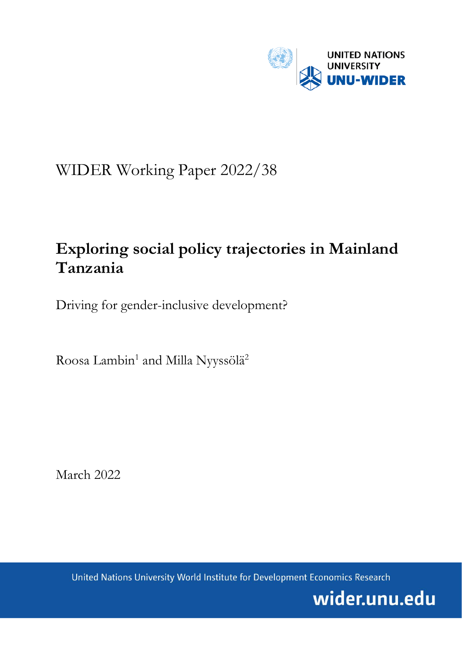

# WIDER Working Paper 2022/38

## **Exploring social policy trajectories in Mainland Tanzania**

Driving for gender-inclusive development?

Roosa Lambin<sup>1</sup> and Milla Nyyssölä<sup>2</sup>

March 2022

United Nations University World Institute for Development Economics Research

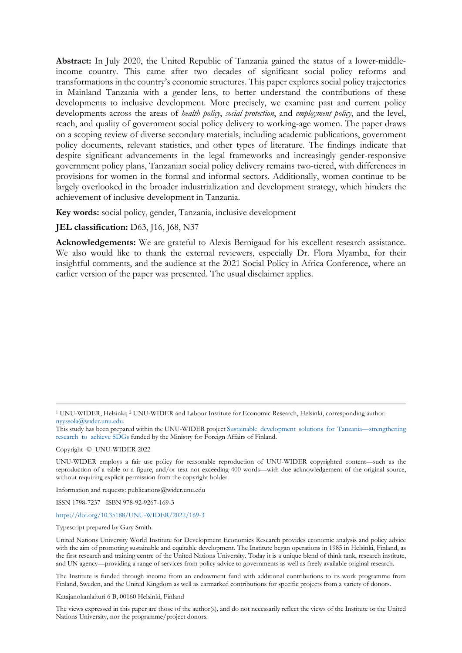**Abstract:** In July 2020, the United Republic of Tanzania gained the status of a lower-middleincome country. This came after two decades of significant social policy reforms and transformations in the country's economic structures. This paper explores social policy trajectories in Mainland Tanzania with a gender lens, to better understand the contributions of these developments to inclusive development. More precisely, we examine past and current policy developments across the areas of *health policy*, *social protection*, and *employment policy*, and the level, reach, and quality of government social policy delivery to working-age women. The paper draws on a scoping review of diverse secondary materials, including academic publications, government policy documents, relevant statistics, and other types of literature. The findings indicate that despite significant advancements in the legal frameworks and increasingly gender-responsive government policy plans, Tanzanian social policy delivery remains two-tiered, with differences in provisions for women in the formal and informal sectors. Additionally, women continue to be largely overlooked in the broader industrialization and development strategy, which hinders the achievement of inclusive development in Tanzania.

**Key words:** social policy, gender, Tanzania, inclusive development

**JEL classification:** D63, J16, J68, N37

**Acknowledgements:** We are grateful to Alexis Bernigaud for his excellent research assistance. We also would like to thank the external reviewers, especially Dr. Flora Myamba, for their insightful comments, and the audience at the 2021 Social Policy in Africa Conference, where an earlier version of the paper was presented. The usual disclaimer applies.

Copyright © UNU-WIDER 2022

Information and requests: publications@wider.unu.edu

ISSN 1798-7237 ISBN 978-92-9267-169-3

<https://doi.org/10.35188/UNU-WIDER/2022/169-3>

Typescript prepared by Gary Smith.

The Institute is funded through income from an endowment fund with additional contributions to its work programme from Finland, Sweden, and the United Kingdom as well as earmarked contributions for specific projects from a variety of donors.

Katajanokanlaituri 6 B, 00160 Helsinki, Finland

The views expressed in this paper are those of the author(s), and do not necessarily reflect the views of the Institute or the United Nations University, nor the programme/project donors.

<sup>1</sup> UNU-WIDER, Helsinki; 2 UNU-WIDER and Labour Institute for Economic Research, Helsinki, corresponding author: [nyyssola@wider.unu.edu.](mailto:nyyssola@wider.unu.edu) 

This study has been prepared within the UNU-WIDER projec[t Sustainable development solutions for Tanzania—strengthening](https://www.wider.unu.edu/project/sustainable-development-solutions-tanzania-%E2%80%93-strengthening-research-achieve-sdgs)  [research to achieve SDGs](https://www.wider.unu.edu/project/sustainable-development-solutions-tanzania-%E2%80%93-strengthening-research-achieve-sdgs) funded by the Ministry for Foreign Affairs of Finland.

UNU-WIDER employs a fair use policy for reasonable reproduction of UNU-WIDER copyrighted content—such as the reproduction of a table or a figure, and/or text not exceeding 400 words—with due acknowledgement of the original source, without requiring explicit permission from the copyright holder.

United Nations University World Institute for Development Economics Research provides economic analysis and policy advice with the aim of promoting sustainable and equitable development. The Institute began operations in 1985 in Helsinki, Finland, as the first research and training centre of the United Nations University. Today it is a unique blend of think tank, research institute, and UN agency—providing a range of services from policy advice to governments as well as freely available original research.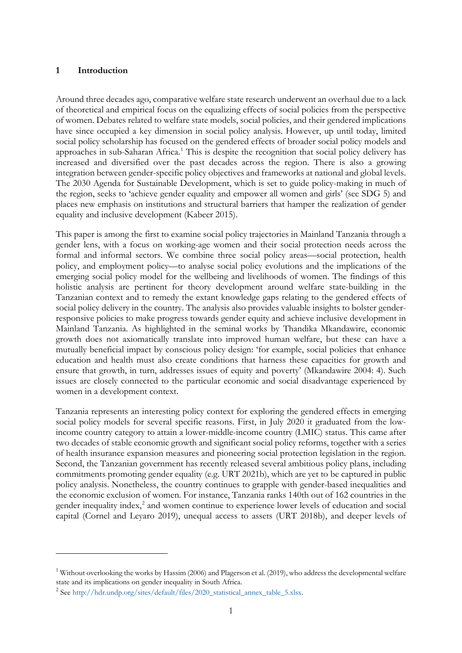#### **1 Introduction**

Around three decades ago, comparative welfare state research underwent an overhaul due to a lack of theoretical and empirical focus on the equalizing effects of social policies from the perspective of women. Debates related to welfare state models, social policies, and their gendered implications have since occupied a key dimension in social policy analysis. However, up until today, limited social policy scholarship has focused on the gendered effects of broader social policy models and approaches in sub-Saharan Africa.<sup>[1](#page-2-0)</sup> This is despite the recognition that social policy delivery has increased and diversified over the past decades across the region. There is also a growing integration between gender-specific policy objectives and frameworks at national and global levels. The 2030 Agenda for Sustainable Development, which is set to guide policy-making in much of the region, seeks to 'achieve gender equality and empower all women and girls' (see SDG 5) and places new emphasis on institutions and structural barriers that hamper the realization of gender equality and inclusive development (Kabeer 2015).

This paper is among the first to examine social policy trajectories in Mainland Tanzania through a gender lens, with a focus on working-age women and their social protection needs across the formal and informal sectors. We combine three social policy areas—social protection, health policy, and employment policy—to analyse social policy evolutions and the implications of the emerging social policy model for the wellbeing and livelihoods of women. The findings of this holistic analysis are pertinent for theory development around welfare state-building in the Tanzanian context and to remedy the extant knowledge gaps relating to the gendered effects of social policy delivery in the country. The analysis also provides valuable insights to bolster genderresponsive policies to make progress towards gender equity and achieve inclusive development in Mainland Tanzania. As highlighted in the seminal works by Thandika Mkandawire, economic growth does not axiomatically translate into improved human welfare, but these can have a mutually beneficial impact by conscious policy design: 'for example, social policies that enhance education and health must also create conditions that harness these capacities for growth and ensure that growth, in turn, addresses issues of equity and poverty' (Mkandawire 2004: 4). Such issues are closely connected to the particular economic and social disadvantage experienced by women in a development context.

Tanzania represents an interesting policy context for exploring the gendered effects in emerging social policy models for several specific reasons. First, in July 2020 it graduated from the lowincome country category to attain a lower-middle-income country (LMIC) status. This came after two decades of stable economic growth and significant social policy reforms, together with a series of health insurance expansion measures and pioneering social protection legislation in the region. Second, the Tanzanian government has recently released several ambitious policy plans, including commitments promoting gender equality (e.g. URT 2021b), which are yet to be captured in public policy analysis. Nonetheless, the country continues to grapple with gender-based inequalities and the economic exclusion of women. For instance, Tanzania ranks 140th out of 162 countries in the gender inequality index, [2](#page-2-1) and women continue to experience lower levels of education and social capital (Cornel and Leyaro 2019), unequal access to assets (URT 2018b), and deeper levels of

<span id="page-2-0"></span><sup>&</sup>lt;sup>1</sup> Without overlooking the works by Hassim (2006) and Plagerson et al. (2019), who address the developmental welfare state and its implications on gender inequality in South Africa.

<span id="page-2-1"></span><sup>&</sup>lt;sup>2</sup> See http://hdr.undp.org/sites/default/files/2020\_statistical\_annex\_table\_5.xlsx.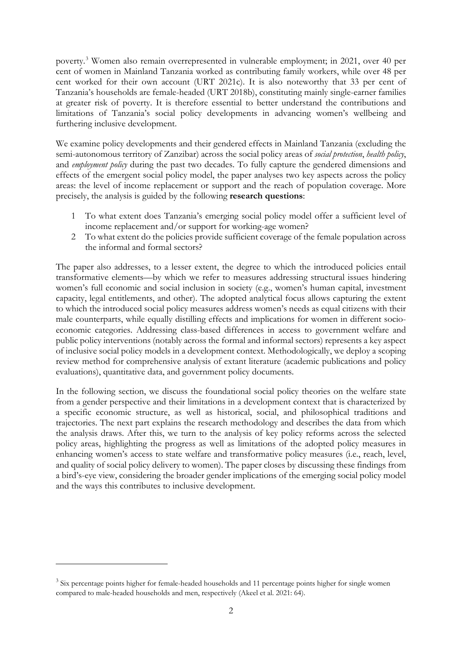poverty. [3](#page-3-0) Women also remain overrepresented in vulnerable employment; in 2021, over 40 per cent of women in Mainland Tanzania worked as contributing family workers, while over 48 per cent worked for their own account (URT 2021c). It is also noteworthy that 33 per cent of Tanzania's households are female-headed (URT 2018b), constituting mainly single-earner families at greater risk of poverty. It is therefore essential to better understand the contributions and limitations of Tanzania's social policy developments in advancing women's wellbeing and furthering inclusive development.

We examine policy developments and their gendered effects in Mainland Tanzania (excluding the semi-autonomous territory of Zanzibar) across the social policy areas of *social protection*, *health policy*, and *employment policy* during the past two decades. To fully capture the gendered dimensions and effects of the emergent social policy model, the paper analyses two key aspects across the policy areas: the level of income replacement or support and the reach of population coverage. More precisely, the analysis is guided by the following **research questions**:

- 1 To what extent does Tanzania's emerging social policy model offer a sufficient level of income replacement and/or support for working-age women?
- 2 To what extent do the policies provide sufficient coverage of the female population across the informal and formal sectors?

The paper also addresses, to a lesser extent, the degree to which the introduced policies entail transformative elements—by which we refer to measures addressing structural issues hindering women's full economic and social inclusion in society (e.g., women's human capital, investment capacity, legal entitlements, and other). The adopted analytical focus allows capturing the extent to which the introduced social policy measures address women's needs as equal citizens with their male counterparts, while equally distilling effects and implications for women in different socioeconomic categories. Addressing class-based differences in access to government welfare and public policy interventions (notably across the formal and informal sectors) represents a key aspect of inclusive social policy models in a development context. Methodologically, we deploy a scoping review method for comprehensive analysis of extant literature (academic publications and policy evaluations), quantitative data, and government policy documents.

In the following section, we discuss the foundational social policy theories on the welfare state from a gender perspective and their limitations in a development context that is characterized by a specific economic structure, as well as historical, social, and philosophical traditions and trajectories. The next part explains the research methodology and describes the data from which the analysis draws. After this, we turn to the analysis of key policy reforms across the selected policy areas, highlighting the progress as well as limitations of the adopted policy measures in enhancing women's access to state welfare and transformative policy measures (i.e., reach, level, and quality of social policy delivery to women). The paper closes by discussing these findings from a bird's-eye view, considering the broader gender implications of the emerging social policy model and the ways this contributes to inclusive development.

<span id="page-3-0"></span><sup>&</sup>lt;sup>3</sup> Six percentage points higher for female-headed households and 11 percentage points higher for single women compared to male-headed households and men, respectively (Akeel et al. 2021: 64).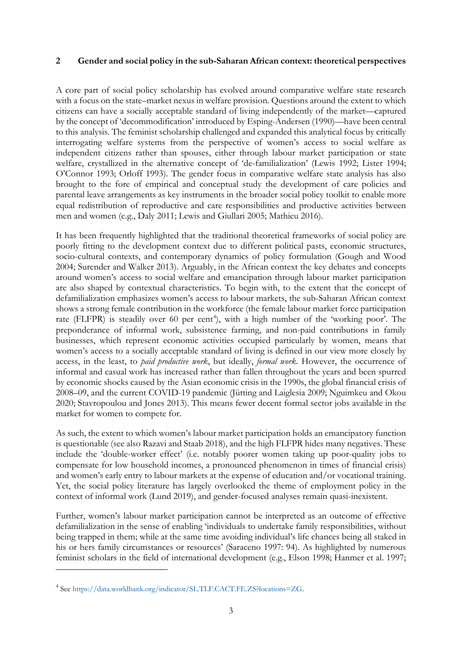#### **2 Gender and social policy in the sub-Saharan African context: theoretical perspectives**

A core part of social policy scholarship has evolved around comparative welfare state research with a focus on the state–market nexus in welfare provision. Questions around the extent to which citizens can have a socially acceptable standard of living independently of the market—captured by the concept of 'decommodification' introduced by Esping-Andersen (1990)—have been central to this analysis. The feminist scholarship challenged and expanded this analytical focus by critically interrogating welfare systems from the perspective of women's access to social welfare as independent citizens rather than spouses, either through labour market participation or state welfare, crystallized in the alternative concept of 'de-familialization' (Lewis 1992; Lister 1994; O'Connor 1993; Orloff 1993). The gender focus in comparative welfare state analysis has also brought to the fore of empirical and conceptual study the development of care policies and parental leave arrangements as key instruments in the broader social policy toolkit to enable more equal redistribution of reproductive and care responsibilities and productive activities between men and women (e.g., Daly 2011; Lewis and Giullari 2005; Mathieu 2016).

It has been frequently highlighted that the traditional theoretical frameworks of social policy are poorly fitting to the development context due to different political pasts, economic structures, socio-cultural contexts, and contemporary dynamics of policy formulation (Gough and Wood 2004; Surender and Walker 2013). Arguably, in the African context the key debates and concepts around women's access to social welfare and emancipation through labour market participation are also shaped by contextual characteristics. To begin with, to the extent that the concept of defamilialization emphasizes women's access to labour markets, the sub-Saharan African context shows a strong female contribution in the workforce (the female labour market force participation rate (FLFPR) is steadily over 60 per cent<sup>[4](#page-4-0)</sup>), with a high number of the 'working poor'. The preponderance of informal work, subsistence farming, and non-paid contributions in family businesses, which represent economic activities occupied particularly by women, means that women's access to a socially acceptable standard of living is defined in our view more closely by access, in the least, to *paid productive work*, but ideally, *formal work*. However, the occurrence of informal and casual work has increased rather than fallen throughout the years and been spurred by economic shocks caused by the Asian economic crisis in the 1990s, the global financial crisis of 2008–09, and the current COVID-19 pandemic (Jütting and Laiglesia 2009; Nguimkeu and Okou 2020; Stavropoulou and Jones 2013). This means fewer decent formal sector jobs available in the market for women to compete for.

As such, the extent to which women's labour market participation holds an emancipatory function is questionable (see also Razavi and Staab 2018), and the high FLFPR hides many negatives. These include the 'double-worker effect' (i.e. notably poorer women taking up poor-quality jobs to compensate for low household incomes, a pronounced phenomenon in times of financial crisis) and women's early entry to labour markets at the expense of education and/or vocational training. Yet, the social policy literature has largely overlooked the theme of employment policy in the context of informal work (Lund 2019), and gender-focused analyses remain quasi-inexistent.

Further, women's labour market participation cannot be interpreted as an outcome of effective defamilialization in the sense of enabling 'individuals to undertake family responsibilities, without being trapped in them; while at the same time avoiding individual's life chances being all staked in his or hers family circumstances or resources' (Saraceno 1997: 94). As highlighted by numerous feminist scholars in the field of international development (e.g., Elson 1998; Hanmer et al. 1997;

<span id="page-4-0"></span><sup>4</sup> See https://data.worldbank.org/indicator/SL.TLF.CACT.FE.ZS?locations=ZG.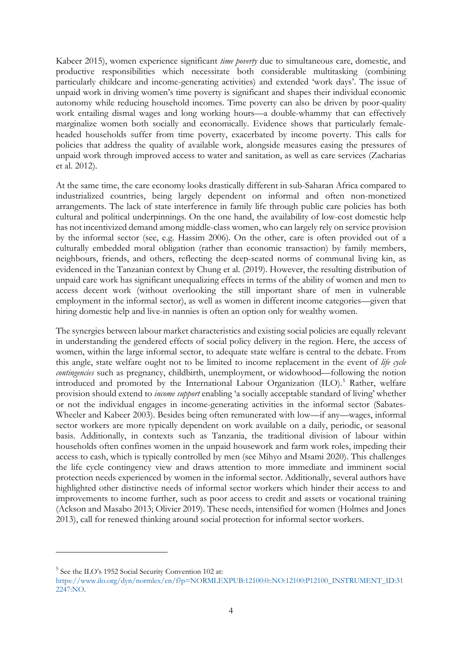Kabeer 2015), women experience significant *time poverty* due to simultaneous care, domestic, and productive responsibilities which necessitate both considerable multitasking (combining particularly childcare and income-generating activities) and extended 'work days'. The issue of unpaid work in driving women's time poverty is significant and shapes their individual economic autonomy while reducing household incomes. Time poverty can also be driven by poor-quality work entailing dismal wages and long working hours—a double-whammy that can effectively marginalize women both socially and economically. Evidence shows that particularly femaleheaded households suffer from time poverty, exacerbated by income poverty. This calls for policies that address the quality of available work, alongside measures easing the pressures of unpaid work through improved access to water and sanitation, as well as care services (Zacharias et al. 2012).

At the same time, the care economy looks drastically different in sub-Saharan Africa compared to industrialized countries, being largely dependent on informal and often non-monetized arrangements. The lack of state interference in family life through public care policies has both cultural and political underpinnings. On the one hand, the availability of low-cost domestic help has not incentivized demand among middle-class women, who can largely rely on service provision by the informal sector (see, e.g. Hassim 2006). On the other, care is often provided out of a culturally embedded moral obligation (rather than economic transaction) by family members, neighbours, friends, and others, reflecting the deep-seated norms of communal living kin, as evidenced in the Tanzanian context by Chung et al. (2019). However, the resulting distribution of unpaid care work has significant unequalizing effects in terms of the ability of women and men to access decent work (without overlooking the still important share of men in vulnerable employment in the informal sector), as well as women in different income categories—given that hiring domestic help and live-in nannies is often an option only for wealthy women.

The synergies between labour market characteristics and existing social policies are equally relevant in understanding the gendered effects of social policy delivery in the region. Here, the access of women, within the large informal sector, to adequate state welfare is central to the debate. From this angle, state welfare ought not to be limited to income replacement in the event of *life cycle contingencies* such as pregnancy, childbirth, unemployment, or widowhood—following the notion introduced and promoted by the International Labour Organization (ILO). [5](#page-5-0) Rather, welfare provision should extend to *income support* enabling 'a socially acceptable standard of living' whether or not the individual engages in income-generating activities in the informal sector (Sabates-Wheeler and Kabeer 2003). Besides being often remunerated with low—if any—wages, informal sector workers are more typically dependent on work available on a daily, periodic, or seasonal basis. Additionally, in contexts such as Tanzania, the traditional division of labour within households often confines women in the unpaid housework and farm work roles, impeding their access to cash, which is typically controlled by men (see Mihyo and Msami 2020). This challenges the life cycle contingency view and draws attention to more immediate and imminent social protection needs experienced by women in the informal sector. Additionally, several authors have highlighted other distinctive needs of informal sector workers which hinder their access to and improvements to income further, such as poor access to credit and assets or vocational training (Ackson and Masabo 2013; Olivier 2019). These needs, intensified for women (Holmes and Jones 2013), call for renewed thinking around social protection for informal sector workers.

<span id="page-5-0"></span><sup>5</sup> See the ILO's 1952 Social Security Convention 102 at:

https://www.ilo.org/dyn/normlex/en/f?p=NORMLEXPUB:12100:0::NO:12100:P12100\_INSTRUMENT\_ID:31 2247:NO.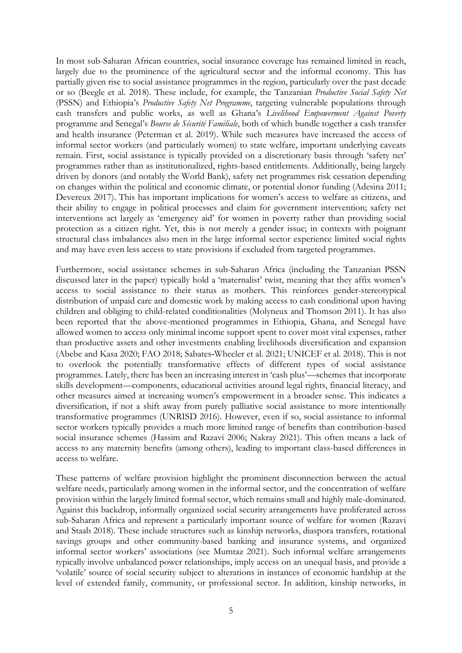In most sub-Saharan African countries, social insurance coverage has remained limited in reach, largely due to the prominence of the agricultural sector and the informal economy. This has partially given rise to social assistance programmes in the region, particularly over the past decade or so (Beegle et al. 2018). These include, for example, the Tanzanian *Productive Social Safety Net* (PSSN) and Ethiopia's *Productive Safety Net Programme*, targeting vulnerable populations through cash transfers and public works, as well as Ghana's *Livelihood Empowerment Against Poverty* programme and Senegal's *Bourse de Sécurité Familiale*, both of which bundle together a cash transfer and health insurance (Peterman et al. 2019). While such measures have increased the access of informal sector workers (and particularly women) to state welfare, important underlying caveats remain. First, social assistance is typically provided on a discretionary basis through 'safety net' programmes rather than as institutionalized, rights-based entitlements. Additionally, being largely driven by donors (and notably the World Bank), safety net programmes risk cessation depending on changes within the political and economic climate, or potential donor funding (Adesina 2011; Devereux 2017). This has important implications for women's access to welfare as citizens, and their ability to engage in political processes and claim for government intervention; safety net interventions act largely as 'emergency aid' for women in poverty rather than providing social protection as a citizen right. Yet, this is not merely a gender issue; in contexts with poignant structural class imbalances also men in the large informal sector experience limited social rights and may have even less access to state provisions if excluded from targeted programmes.

Furthermore, social assistance schemes in sub-Saharan Africa (including the Tanzanian PSSN discussed later in the paper) typically hold a 'maternalist' twist, meaning that they affix women's access to social assistance to their status as mothers. This reinforces gender-stereotypical distribution of unpaid care and domestic work by making access to cash conditional upon having children and obliging to child-related conditionalities (Molyneux and Thomson 2011). It has also been reported that the above-mentioned programmes in Ethiopia, Ghana, and Senegal have allowed women to access only minimal income support spent to cover most vital expenses, rather than productive assets and other investments enabling livelihoods diversification and expansion (Abebe and Kasa 2020; FAO 2018; Sabates‐Wheeler et al. 2021; UNICEF et al. 2018). This is not to overlook the potentially transformative effects of different types of social assistance programmes. Lately, there has been an increasing interest in 'cash plus'—schemes that incorporate skills development—components, educational activities around legal rights, financial literacy, and other measures aimed at increasing women's empowerment in a broader sense. This indicates a diversification, if not a shift away from purely palliative social assistance to more intentionally transformative programmes (UNRISD 2016). However, even if so, social assistance to informal sector workers typically provides a much more limited range of benefits than contribution-based social insurance schemes (Hassim and Razavi 2006; Nakray 2021). This often means a lack of access to any maternity benefits (among others), leading to important class-based differences in access to welfare.

These patterns of welfare provision highlight the prominent disconnection between the actual welfare needs, particularly among women in the informal sector, and the concentration of welfare provision within the largely limited formal sector, which remains small and highly male-dominated. Against this backdrop, informally organized social security arrangements have proliferated across sub-Saharan Africa and represent a particularly important source of welfare for women (Razavi and Staab 2018). These include structures such as kinship networks, diaspora transfers, rotational savings groups and other community-based banking and insurance systems, and organized informal sector workers' associations (see Mumtaz 2021). Such informal welfare arrangements typically involve unbalanced power relationships, imply access on an unequal basis, and provide a 'volatile' source of social security subject to alterations in instances of economic hardship at the level of extended family, community, or professional sector. In addition, kinship networks, in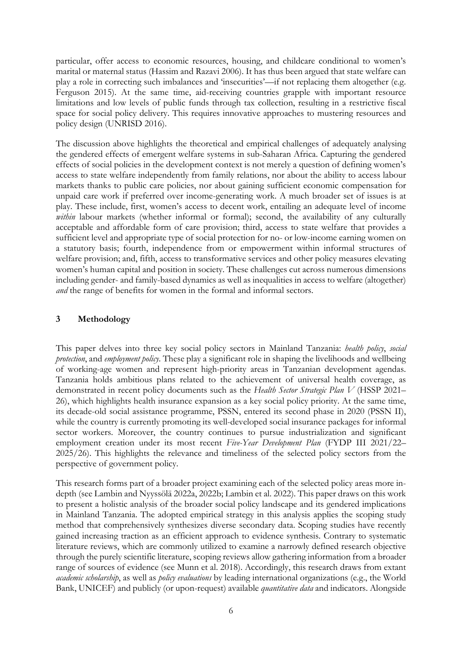particular, offer access to economic resources, housing, and childcare conditional to women's marital or maternal status (Hassim and Razavi 2006). It has thus been argued that state welfare can play a role in correcting such imbalances and 'insecurities'—if not replacing them altogether (e.g. Ferguson 2015). At the same time, aid-receiving countries grapple with important resource limitations and low levels of public funds through tax collection, resulting in a restrictive fiscal space for social policy delivery. This requires innovative approaches to mustering resources and policy design (UNRISD 2016).

The discussion above highlights the theoretical and empirical challenges of adequately analysing the gendered effects of emergent welfare systems in sub-Saharan Africa. Capturing the gendered effects of social policies in the development context is not merely a question of defining women's access to state welfare independently from family relations, nor about the ability to access labour markets thanks to public care policies, nor about gaining sufficient economic compensation for unpaid care work if preferred over income-generating work. A much broader set of issues is at play. These include, first, women's access to decent work, entailing an adequate level of income within labour markets (whether informal or formal); second, the availability of any culturally acceptable and affordable form of care provision; third, access to state welfare that provides a sufficient level and appropriate type of social protection for no- or low-income earning women on a statutory basis; fourth, independence from or empowerment within informal structures of welfare provision; and, fifth, access to transformative services and other policy measures elevating women's human capital and position in society. These challenges cut across numerous dimensions including gender- and family-based dynamics as well as inequalities in access to welfare (altogether) *and* the range of benefits for women in the formal and informal sectors.

## **3 Methodology**

This paper delves into three key social policy sectors in Mainland Tanzania: *health policy*, *social protection*, and *employment policy*. These play a significant role in shaping the livelihoods and wellbeing of working-age women and represent high-priority areas in Tanzanian development agendas. Tanzania holds ambitious plans related to the achievement of universal health coverage, as demonstrated in recent policy documents such as the *Health Sector Strategic Plan V* (HSSP 2021– 26), which highlights health insurance expansion as a key social policy priority. At the same time, its decade-old social assistance programme, PSSN, entered its second phase in 2020 (PSSN II), while the country is currently promoting its well-developed social insurance packages for informal sector workers. Moreover, the country continues to pursue industrialization and significant employment creation under its most recent *Five-Year Development Plan* (FYDP III 2021/22– 2025/26). This highlights the relevance and timeliness of the selected policy sectors from the perspective of government policy.

This research forms part of a broader project examining each of the selected policy areas more indepth (see Lambin and Nyyssölä 2022a, 2022b; Lambin et al. 2022). This paper draws on this work to present a holistic analysis of the broader social policy landscape and its gendered implications in Mainland Tanzania. The adopted empirical strategy in this analysis applies the scoping study method that comprehensively synthesizes diverse secondary data. Scoping studies have recently gained increasing traction as an efficient approach to evidence synthesis. Contrary to systematic literature reviews, which are commonly utilized to examine a narrowly defined research objective through the purely scientific literature, scoping reviews allow gathering information from a broader range of sources of evidence (see Munn et al. 2018). Accordingly, this research draws from extant *academic scholarship*, as well as *policy evaluations* by leading international organizations (e.g., the World Bank, UNICEF) and publicly (or upon-request) available *quantitative data* and indicators. Alongside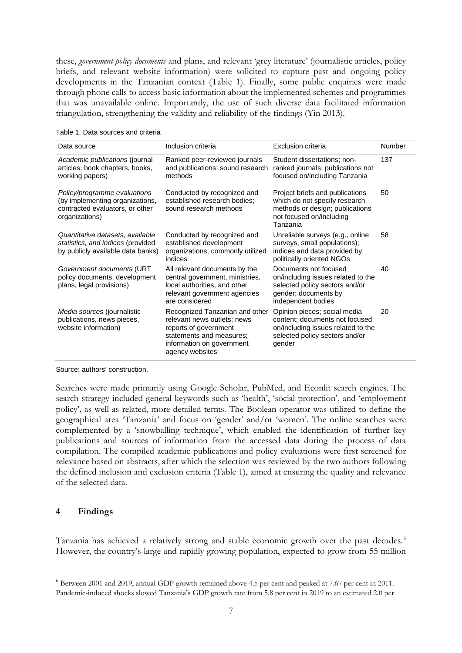these, *government policy documents* and plans, and relevant 'grey literature' (journalistic articles, policy briefs, and relevant website information) were solicited to capture past and ongoing policy developments in the Tanzanian context (Table 1). Finally, some public enquiries were made through phone calls to access basic information about the implemented schemes and programmes that was unavailable online. Importantly, the use of such diverse data facilitated information triangulation, strengthening the validity and reliability of the findings (Yin 2013).

| Data source                                                                                                          | Inclusion criteria                                                                                                                                                 | Exclusion criteria                                                                                                                               | Number |
|----------------------------------------------------------------------------------------------------------------------|--------------------------------------------------------------------------------------------------------------------------------------------------------------------|--------------------------------------------------------------------------------------------------------------------------------------------------|--------|
| Academic publications (journal<br>articles, book chapters, books,<br>working papers)                                 | Ranked peer-reviewed journals<br>and publications; sound research<br>methods                                                                                       | Student dissertations; non-<br>ranked journals; publications not<br>focused on/including Tanzania                                                | 137    |
| Policy/programme evaluations<br>(by implementing organizations,<br>contracted evaluators, or other<br>organizations) | Conducted by recognized and<br>established research bodies;<br>sound research methods                                                                              | Project briefs and publications<br>which do not specify research<br>methods or design; publications<br>not focused on/including<br>Tanzania      | 50     |
| Quantitative datasets, available<br>statistics, and indices (provided<br>by publicly available data banks)           | Conducted by recognized and<br>established development<br>organizations; commonly utilized<br>indices                                                              | Unreliable surveys (e.g., online<br>surveys, small populations);<br>indices and data provided by<br>politically oriented NGOs                    | 58     |
| Government documents (URT<br>policy documents, development<br>plans, legal provisions)                               | All relevant documents by the<br>central government, ministries,<br>local authorities, and other<br>relevant government agencies<br>are considered                 | Documents not focused<br>on/including issues related to the<br>selected policy sectors and/or<br>gender; documents by<br>independent bodies      | 40     |
| Media sources (journalistic<br>publications, news pieces,<br>website information)                                    | Recognized Tanzanian and other<br>relevant news outlets; news<br>reports of government<br>statements and measures;<br>information on government<br>agency websites | Opinion pieces; social media<br>content; documents not focused<br>on/including issues related to the<br>selected policy sectors and/or<br>gender | 20     |

| Table 1: Data sources and criteria |  |  |
|------------------------------------|--|--|
|------------------------------------|--|--|

Source: authors' construction.

Searches were made primarily using Google Scholar, PubMed, and Econlit search engines. The search strategy included general keywords such as 'health', 'social protection', and 'employment policy', as well as related, more detailed terms. The Boolean operator was utilized to define the geographical area 'Tanzania' and focus on 'gender' and/or 'women'. The online searches were complemented by a 'snowballing technique', which enabled the identification of further key publications and sources of information from the accessed data during the process of data compilation. The compiled academic publications and policy evaluations were first screened for relevance based on abstracts, after which the selection was reviewed by the two authors following the defined inclusion and exclusion criteria (Table 1), aimed at ensuring the quality and relevance of the selected data.

#### **4 Findings**

Tanzania has achieved a relatively strong and stable economic growth over the past decades.[6](#page-8-0) However, the country's large and rapidly growing population, expected to grow from 55 million

<span id="page-8-0"></span><sup>6</sup> Between 2001 and 2019, annual GDP growth remained above 4.5 per cent and peaked at 7.67 per cent in 2011. Pandemic-induced shocks slowed Tanzania's GDP growth rate from 5.8 per cent in 2019 to an estimated 2.0 per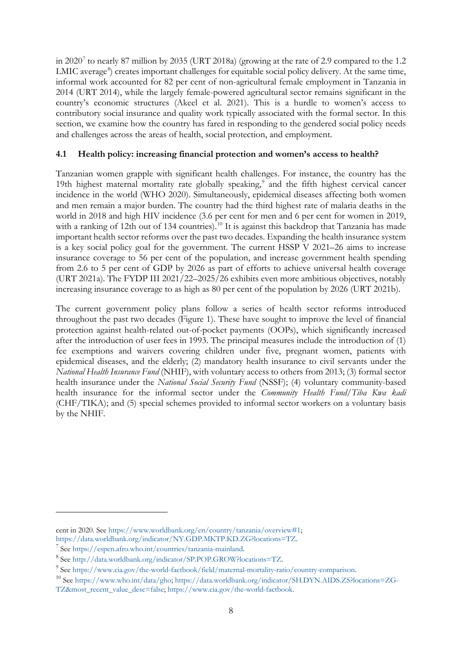in 2020[7](#page-9-0) to nearly 87 million by 2035 (URT 2018a) (growing at the rate of 2.9 compared to the 1.2 LMIC average<sup>[8](#page-9-1)</sup>) creates important challenges for equitable social policy delivery. At the same time, informal work accounted for 82 per cent of non-agricultural female employment in Tanzania in 2014 (URT 2014), while the largely female-powered agricultural sector remains significant in the country's economic structures (Akeel et al. 2021). This is a hurdle to women's access to contributory social insurance and quality work typically associated with the formal sector. In this section, we examine how the country has fared in responding to the gendered social policy needs and challenges across the areas of health, social protection, and employment.

## **4.1 Health policy: increasing financial protection and women's access to health?**

Tanzanian women grapple with significant health challenges. For instance, the country has the 1[9](#page-9-2)th highest maternal mortality rate globally speaking,<sup>9</sup> and the fifth highest cervical cancer incidence in the world (WHO 2020). Simultaneously, epidemical diseases affecting both women and men remain a major burden. The country had the third highest rate of malaria deaths in the world in 2018 and high HIV incidence (3.6 per cent for men and 6 per cent for women in 2019, with a ranking of 12th out of 134 countries).<sup>[10](#page-9-3)</sup> It is against this backdrop that Tanzania has made important health sector reforms over the past two decades. Expanding the health insurance system is a key social policy goal for the government. The current HSSP V 2021–26 aims to increase insurance coverage to 56 per cent of the population, and increase government health spending from 2.6 to 5 per cent of GDP by 2026 as part of efforts to achieve universal health coverage (URT 2021a). The FYDP III 2021/22–2025/26 exhibits even more ambitious objectives, notably increasing insurance coverage to as high as 80 per cent of the population by 2026 (URT 2021b).

The current government policy plans follow a series of health sector reforms introduced throughout the past two decades (Figure 1). These have sought to improve the level of financial protection against health-related out-of-pocket payments (OOPs), which significantly increased after the introduction of user fees in 1993. The principal measures include the introduction of (1) fee exemptions and waivers covering children under five, pregnant women, patients with epidemical diseases, and the elderly; (2) mandatory health insurance to civil servants under the *National Health Insurance Fund* (NHIF), with voluntary access to others from 2013; (3) formal sector health insurance under the *National Social Security Fund* (NSSF); (4) voluntary community-based health insurance for the informal sector under the *Community Health Fund*/*Tiba Kwa kadi* (CHF/TIKA); and (5) special schemes provided to informal sector workers on a voluntary basis by the NHIF.

cent in 2020. See https://www.worldbank.org/en/country/tanzania/overview#1;

https://data.worldbank.org/indicator/NY.GDP.MKTP.KD.ZG?locations=TZ.

<span id="page-9-0"></span><sup>7</sup> See https://espen.afro.who.int/countries/tanzania-mainland.

<span id="page-9-1"></span><sup>8</sup> See http://data.worldbank.org/indicator/SP.POP.GROW?locations=TZ.

<span id="page-9-2"></span><sup>9</sup> See https://www.cia.gov/the-world-factbook/field/maternal-mortality-ratio/country-comparison.

<span id="page-9-3"></span><sup>&</sup>lt;sup>10</sup> See [https://www.who.int/data/gho;](https://www.who.int/data/gho) https://data.worldbank.org/indicator/SH.DYN.AIDS.ZS?locations=ZG-TZ&most\_recent\_value\_desc=false; https://www.cia.gov/the-world-factbook.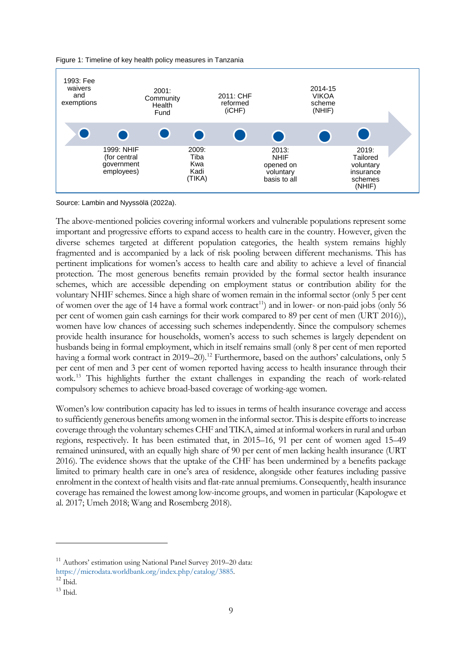



Source: Lambin and Nyyssölä (2022a).

The above-mentioned policies covering informal workers and vulnerable populations represent some important and progressive efforts to expand access to health care in the country. However, given the diverse schemes targeted at different population categories, the health system remains highly fragmented and is accompanied by a lack of risk pooling between different mechanisms. This has pertinent implications for women's access to health care and ability to achieve a level of financial protection. The most generous benefits remain provided by the formal sector health insurance schemes, which are accessible depending on employment status or contribution ability for the voluntary NHIF schemes. Since a high share of women remain in the informal sector (only 5 per cent of women over the age of 14 have a formal work contract<sup>11</sup>) and in lower- or non-paid jobs (only 56 per cent of women gain cash earnings for their work compared to 89 per cent of men (URT 2016)), women have low chances of accessing such schemes independently. Since the compulsory schemes provide health insurance for households, women's access to such schemes is largely dependent on husbands being in formal employment, which in itself remains small (only 8 per cent of men reported having a formal work contract in 2019–20).<sup>[12](#page-10-1)</sup> Furthermore, based on the authors' calculations, only 5 per cent of men and 3 per cent of women reported having access to health insurance through their work.[13](#page-10-2) This highlights further the extant challenges in expanding the reach of work-related compulsory schemes to achieve broad-based coverage of working-age women.

Women's low contribution capacity has led to issues in terms of health insurance coverage and access to sufficiently generous benefits among women in the informal sector. This is despite efforts to increase coverage through the voluntary schemes CHF and TIKA, aimed at informal workers in rural and urban regions, respectively. It has been estimated that, in 2015–16, 91 per cent of women aged 15–49 remained uninsured, with an equally high share of 90 per cent of men lacking health insurance (URT 2016). The evidence shows that the uptake of the CHF has been undermined by a benefits package limited to primary health care in one's area of residence, alongside other features including passive enrolment in the context of health visits and flat-rate annual premiums. Consequently, health insurance coverage has remained the lowest among low-income groups, and women in particular (Kapologwe et al. 2017; Umeh 2018; Wang and Rosemberg 2018).

<span id="page-10-0"></span><sup>&</sup>lt;sup>11</sup> Authors' estimation using National Panel Survey 2019–20 data:

https://microdata.worldbank.org/index.php/catalog/3885.

<span id="page-10-1"></span> $12$  Ibid.

<span id="page-10-2"></span> $^{13}$  Ibid.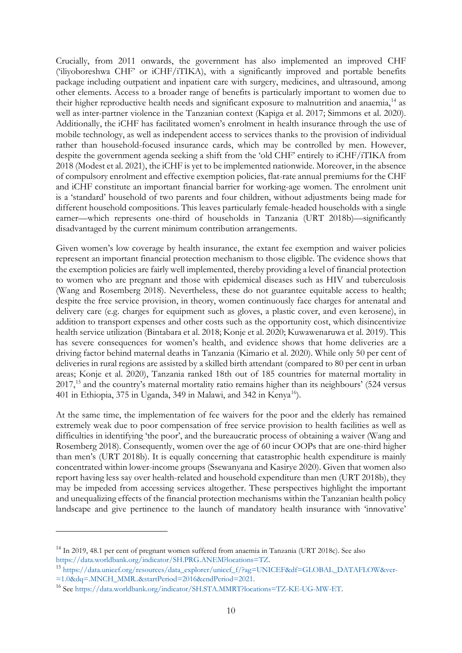Crucially, from 2011 onwards, the government has also implemented an improved CHF ('iliyoboreshwa CHF' or iCHF/iTIKA), with a significantly improved and portable benefits package including outpatient and inpatient care with surgery, medicines, and ultrasound, among other elements. Access to a broader range of benefits is particularly important to women due to their higher reproductive health needs and significant exposure to malnutrition and anaemia,<sup>[14](#page-11-0)</sup> as well as inter-partner violence in the Tanzanian context (Kapiga et al. 2017; Simmons et al. 2020). Additionally, the iCHF has facilitated women's enrolment in health insurance through the use of mobile technology, as well as independent access to services thanks to the provision of individual rather than household-focused insurance cards, which may be controlled by men. However, despite the government agenda seeking a shift from the 'old CHF' entirely to iCHF/iTIKA from 2018 (Modest et al. 2021), the iCHF is yet to be implemented nationwide. Moreover, in the absence of compulsory enrolment and effective exemption policies, flat-rate annual premiums for the CHF and iCHF constitute an important financial barrier for working-age women. The enrolment unit is a 'standard' household of two parents and four children, without adjustments being made for different household compositions. This leaves particularly female-headed households with a single earner—which represents one-third of households in Tanzania (URT 2018b)—significantly disadvantaged by the current minimum contribution arrangements.

Given women's low coverage by health insurance, the extant fee exemption and waiver policies represent an important financial protection mechanism to those eligible. The evidence shows that the exemption policies are fairly well implemented, thereby providing a level of financial protection to women who are pregnant and those with epidemical diseases such as HIV and tuberculosis (Wang and Rosemberg 2018). Nevertheless, these do not guarantee equitable access to health; despite the free service provision, in theory, women continuously face charges for antenatal and delivery care (e.g. charges for equipment such as gloves, a plastic cover, and even kerosene), in addition to transport expenses and other costs such as the opportunity cost, which disincentivize health service utilization (Bintabara et al. 2018; Konje et al. 2020; Kuwawenaruwa et al. 2019). This has severe consequences for women's health, and evidence shows that home deliveries are a driving factor behind maternal deaths in Tanzania (Kimario et al. 2020). While only 50 per cent of deliveries in rural regions are assisted by a skilled birth attendant (compared to 80 per cent in urban areas; Konje et al. 2020), Tanzania ranked 18th out of 185 countries for maternal mortality in 2017,<sup>[15](#page-11-1)</sup> and the country's maternal mortality ratio remains higher than its neighbours' (524 versus 401 in Ethiopia, 375 in Uganda, 349 in Malawi, and 342 in Kenya<sup>16</sup>).

At the same time, the implementation of fee waivers for the poor and the elderly has remained extremely weak due to poor compensation of free service provision to health facilities as well as difficulties in identifying 'the poor', and the bureaucratic process of obtaining a waiver (Wang and Rosemberg 2018). Consequently, women over the age of 60 incur OOPs that are one-third higher than men's (URT 2018b). It is equally concerning that catastrophic health expenditure is mainly concentrated within lower-income groups (Ssewanyana and Kasirye 2020). Given that women also report having less say over health-related and household expenditure than men (URT 2018b), they may be impeded from accessing services altogether. These perspectives highlight the important and unequalizing effects of the financial protection mechanisms within the Tanzanian health policy landscape and give pertinence to the launch of mandatory health insurance with 'innovative'

<span id="page-11-0"></span><sup>14</sup> In 2019, 48.1 per cent of pregnant women suffered from anaemia in Tanzania (URT 2018c). See also https://data.worldbank.org/indicator/SH.PRG.ANEM?locations=TZ.

<span id="page-11-1"></span><sup>&</sup>lt;sup>15</sup> https://data.unicef.org/resources/data\_explorer/unicef\_f/?ag=UNICEF&df=GLOBAL\_DATAFLOW&ver-=1.0&dq=.MNCH\_MMR..&startPeriod=2016&endPeriod=2021.

<span id="page-11-2"></span><sup>16</sup> See [https://data.worldbank.org/indicator/SH.STA.MMRT?locations=TZ-KE-UG-MW-ET.](https://data.worldbank.org/indicator/SH.STA.MMRT?locations=TZ-KE-UG-MW-ET)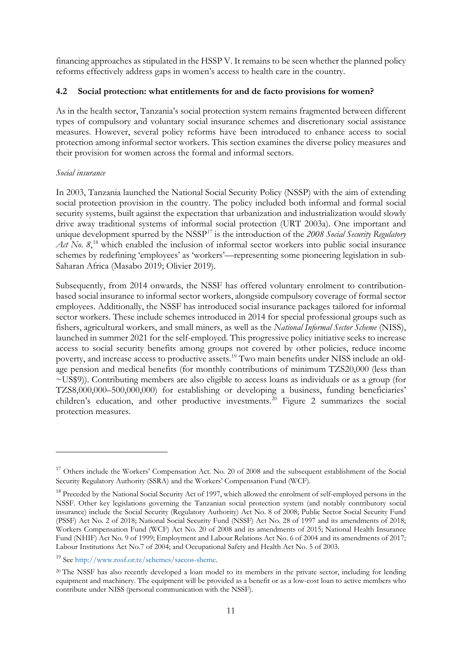financing approaches as stipulated in the HSSP V. It remains to be seen whether the planned policy reforms effectively address gaps in women's access to health care in the country.

## **4.2 Social protection: what entitlements for and de facto provisions for women?**

As in the health sector, Tanzania's social protection system remains fragmented between different types of compulsory and voluntary social insurance schemes and discretionary social assistance measures. However, several policy reforms have been introduced to enhance access to social protection among informal sector workers. This section examines the diverse policy measures and their provision for women across the formal and informal sectors.

## *Social insurance*

In 2003, Tanzania launched the National Social Security Policy (NSSP) with the aim of extending social protection provision in the country. The policy included both informal and formal social security systems, built against the expectation that urbanization and industrialization would slowly drive away traditional systems of informal social protection (URT 2003a). One important and unique development spurred by the NSSP<sup>[17](#page-12-0)</sup> is the introduction of the 2008 Social Security Regulatory Act No. 8,<sup>[18](#page-12-1)</sup> which enabled the inclusion of informal sector workers into public social insurance schemes by redefining 'employees' as 'workers'—representing some pioneering legislation in sub-Saharan Africa (Masabo 2019; Olivier 2019).

Subsequently, from 2014 onwards, the NSSF has offered voluntary enrolment to contributionbased social insurance to informal sector workers, alongside compulsory coverage of formal sector employees. Additionally, the NSSF has introduced social insurance packages tailored for informal sector workers. These include schemes introduced in 2014 for special professional groups such as fishers, agricultural workers, and small miners, as well as the *National Informal Sector Scheme* (NISS), launched in summer 2021 for the self-employed. This progressive policy initiative seeks to increase access to social security benefits among groups not covered by other policies, reduce income poverty, and increase access to productive assets.[19](#page-12-2) Two main benefits under NISS include an oldage pension and medical benefits (for monthly contributions of minimum TZS20,000 (less than ~US\$9)). Contributing members are also eligible to access loans as individuals or as a group (for TZS8,000,000–500,000,000) for establishing or developing a business, funding beneficiaries' children's education, and other productive investments.<sup>[20](#page-12-3)</sup> Figure 2 summarizes the social protection measures.

<span id="page-12-0"></span><sup>&</sup>lt;sup>17</sup> Others include the Workers' Compensation Act. No. 20 of 2008 and the subsequent establishment of the Social Security Regulatory Authority (SSRA) and the Workers' Compensation Fund (WCF).

<span id="page-12-1"></span><sup>&</sup>lt;sup>18</sup> Preceded by the National Social Security Act of 1997, which allowed the enrolment of self-employed persons in the NSSF. Other key legislations governing the Tanzanian social protection system (and notably contributory social insurance) include the Social Security (Regulatory Authority) Act No. 8 of 2008; Public Sector Social Security Fund (PSSF) Act No. 2 of 2018; National Social Security Fund (NSSF) Act No. 28 of 1997 and its amendments of 2018; Workers Compensation Fund (WCF) Act No. 20 of 2008 and its amendments of 2015; National Health Insurance Fund (NHIF) Act No. 9 of 1999; Employment and Labour Relations Act No. 6 of 2004 and its amendments of 2017; Labour Institutions Act No.7 of 2004; and Occupational Safety and Health Act No. 5 of 2003.

<span id="page-12-2"></span><sup>19</sup> See http://www.nssf.or.tz/schemes/saccos-sheme.

<span id="page-12-3"></span><sup>&</sup>lt;sup>20</sup> The NSSF has also recently developed a loan model to its members in the private sector, including for lending equipment and machinery. The equipment will be provided as a benefit or as a low-cost loan to active members who contribute under NISS (personal communication with the NSSF).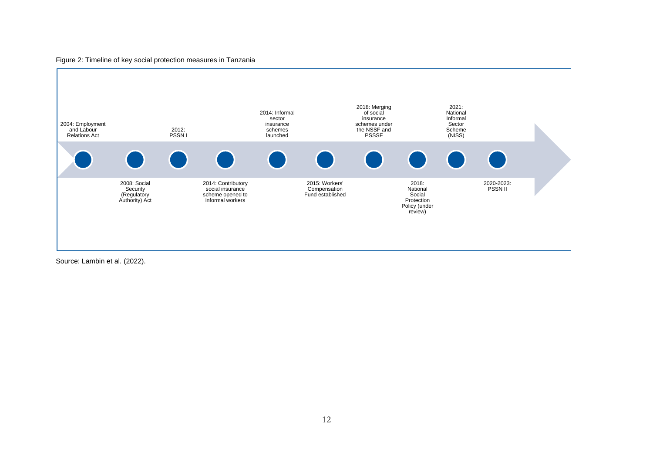#### Figure 2: Timeline of key social protection measures in Tanzania



Source: Lambin et al. (2022).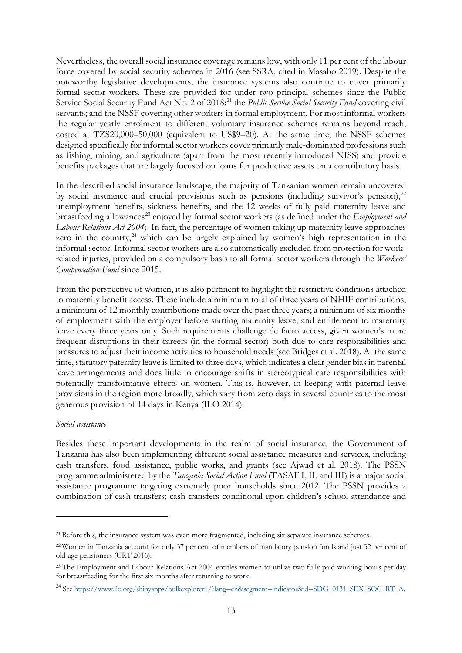Nevertheless, the overall social insurance coverage remains low, with only 11 per cent of the labour force covered by social security schemes in 2016 (see SSRA, cited in Masabo 2019). Despite the noteworthy legislative developments, the insurance systems also continue to cover primarily formal sector workers. These are provided for under two principal schemes since the Public Service Social Security Fund Act No. 2 of 2018:<sup>[21](#page-14-0)</sup> the *Public Service Social Security Fund* covering civil servants; and the NSSF covering other workers in formal employment. For most informal workers the regular yearly enrolment to different voluntary insurance schemes remains beyond reach, costed at TZS20,000–50,000 (equivalent to US\$9–20). At the same time, the NSSF schemes designed specifically for informal sector workers cover primarily male-dominated professions such as fishing, mining, and agriculture (apart from the most recently introduced NISS) and provide benefits packages that are largely focused on loans for productive assets on a contributory basis.

In the described social insurance landscape, the majority of Tanzanian women remain uncovered by social insurance and crucial provisions such as pensions (including survivor's pension),<sup>[22](#page-14-1)</sup> unemployment benefits, sickness benefits, and the 12 weeks of fully paid maternity leave and breastfeeding allowances<sup>[23](#page-14-2)</sup> enjoyed by formal sector workers (as defined under the *Employment and Labour Relations Act 2004*). In fact, the percentage of women taking up maternity leave approaches zero in the country, $24$  which can be largely explained by women's high representation in the informal sector. Informal sector workers are also automatically excluded from protection for workrelated injuries, provided on a compulsory basis to all formal sector workers through the *Workers' Compensation Fund* since 2015.

From the perspective of women, it is also pertinent to highlight the restrictive conditions attached to maternity benefit access. These include a minimum total of three years of NHIF contributions; a minimum of 12 monthly contributions made over the past three years; a minimum of six months of employment with the employer before starting maternity leave; and entitlement to maternity leave every three years only. Such requirements challenge de facto access, given women's more frequent disruptions in their careers (in the formal sector) both due to care responsibilities and pressures to adjust their income activities to household needs (see Bridges et al. 2018). At the same time, statutory paternity leave is limited to three days, which indicates a clear gender bias in parental leave arrangements and does little to encourage shifts in stereotypical care responsibilities with potentially transformative effects on women. This is, however, in keeping with paternal leave provisions in the region more broadly, which vary from zero days in several countries to the most generous provision of 14 days in Kenya (ILO 2014).

#### *Social assistance*

Besides these important developments in the realm of social insurance, the Government of Tanzania has also been implementing different social assistance measures and services, including cash transfers, food assistance, public works, and grants (see Ajwad et al. 2018). The PSSN programme administered by the *Tanzania Social Action Fund* (TASAF I, II, and III) is a major social assistance programme targeting extremely poor households since 2012. The PSSN provides a combination of cash transfers; cash transfers conditional upon children's school attendance and

<span id="page-14-0"></span><sup>&</sup>lt;sup>21</sup> Before this, the insurance system was even more fragmented, including six separate insurance schemes.

<span id="page-14-1"></span><sup>22</sup> Women in Tanzania account for only 37 per cent of members of mandatory pension funds and just 32 per cent of old-age pensioners (URT 2016).

<span id="page-14-2"></span><sup>&</sup>lt;sup>23</sup> The Employment and Labour Relations Act 2004 entitles women to utilize two fully paid working hours per day for breastfeeding for the first six months after returning to work.

<span id="page-14-3"></span><sup>&</sup>lt;sup>24</sup> See [https://www.ilo.org/shinyapps/bulkexplorer1/?lang=en&segment=indicator&id=SDG\\_0131\\_SEX\\_SOC\\_RT\\_A.](https://www.ilo.org/shinyapps/bulkexplorer1/?lang=en&segment=indicator&id=SDG_0131_SEX_SOC_RT_A)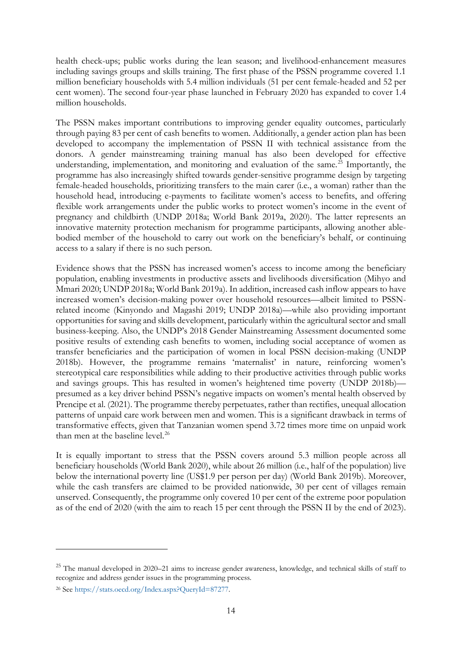health check-ups; public works during the lean season; and livelihood-enhancement measures including savings groups and skills training. The first phase of the PSSN programme covered 1.1 million beneficiary households with 5.4 million individuals (51 per cent female-headed and 52 per cent women). The second four-year phase launched in February 2020 has expanded to cover 1.4 million households.

The PSSN makes important contributions to improving gender equality outcomes, particularly through paying 83 per cent of cash benefits to women. Additionally, a gender action plan has been developed to accompany the implementation of PSSN II with technical assistance from the donors. A gender mainstreaming training manual has also been developed for effective understanding, implementation, and monitoring and evaluation of the same. $^{25}$  $^{25}$  $^{25}$  Importantly, the programme has also increasingly shifted towards gender-sensitive programme design by targeting female-headed households, prioritizing transfers to the main carer (i.e., a woman) rather than the household head, introducing e-payments to facilitate women's access to benefits, and offering flexible work arrangements under the public works to protect women's income in the event of pregnancy and childbirth (UNDP 2018a; World Bank 2019a, 2020). The latter represents an innovative maternity protection mechanism for programme participants, allowing another ablebodied member of the household to carry out work on the beneficiary's behalf, or continuing access to a salary if there is no such person.

Evidence shows that the PSSN has increased women's access to income among the beneficiary population, enabling investments in productive assets and livelihoods diversification (Mihyo and Mmari 2020; UNDP 2018a; World Bank 2019a). In addition, increased cash inflow appears to have increased women's decision-making power over household resources—albeit limited to PSSNrelated income (Kinyondo and Magashi 2019; UNDP 2018a)—while also providing important opportunities for saving and skills development, particularly within the agricultural sector and small business-keeping. Also, the UNDP's 2018 Gender Mainstreaming Assessment documented some positive results of extending cash benefits to women, including social acceptance of women as transfer beneficiaries and the participation of women in local PSSN decision-making (UNDP 2018b). However, the programme remains 'maternalist' in nature, reinforcing women's stereotypical care responsibilities while adding to their productive activities through public works and savings groups. This has resulted in women's heightened time poverty (UNDP 2018b) presumed as a key driver behind PSSN's negative impacts on women's mental health observed by Prencipe et al. (2021). The programme thereby perpetuates, rather than rectifies, unequal allocation patterns of unpaid care work between men and women. This is a significant drawback in terms of transformative effects, given that Tanzanian women spend 3.72 times more time on unpaid work than men at the baseline level.<sup>[26](#page-15-1)</sup>

It is equally important to stress that the PSSN covers around 5.3 million people across all beneficiary households (World Bank 2020), while about 26 million (i.e., half of the population) live below the international poverty line (US\$1.9 per person per day) (World Bank 2019b). Moreover, while the cash transfers are claimed to be provided nationwide, 30 per cent of villages remain unserved. Consequently, the programme only covered 10 per cent of the extreme poor population as of the end of 2020 (with the aim to reach 15 per cent through the PSSN II by the end of 2023).

<span id="page-15-0"></span> $25$  The manual developed in 2020–21 aims to increase gender awareness, knowledge, and technical skills of staff to recognize and address gender issues in the programming process.

<span id="page-15-1"></span><sup>26</sup> See https://stats.oecd.org/Index.aspx?QueryId=87277.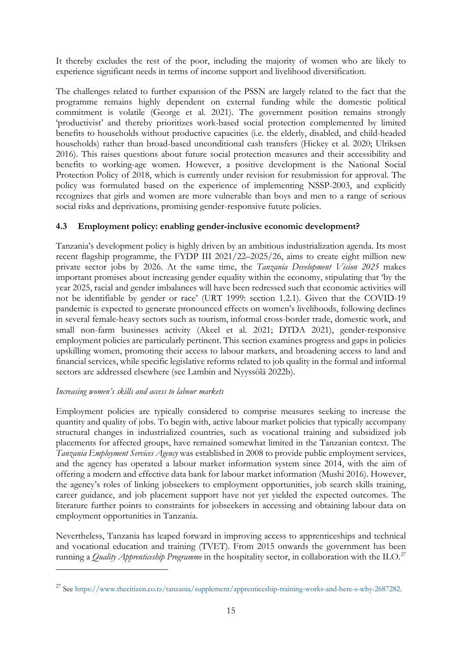It thereby excludes the rest of the poor, including the majority of women who are likely to experience significant needs in terms of income support and livelihood diversification.

The challenges related to further expansion of the PSSN are largely related to the fact that the programme remains highly dependent on external funding while the domestic political commitment is volatile (George et al. 2021). The government position remains strongly 'productivist' and thereby prioritizes work-based social protection complemented by limited benefits to households without productive capacities (i.e. the elderly, disabled, and child-headed households) rather than broad-based unconditional cash transfers (Hickey et al. 2020; Ulriksen 2016). This raises questions about future social protection measures and their accessibility and benefits to working-age women. However, a positive development is the National Social Protection Policy of 2018, which is currently under revision for resubmission for approval. The policy was formulated based on the experience of implementing NSSP-2003, and explicitly recognizes that girls and women are more vulnerable than boys and men to a range of serious social risks and deprivations, promising gender-responsive future policies.

## **4.3 Employment policy: enabling gender-inclusive economic development?**

Tanzania's development policy is highly driven by an ambitious industrialization agenda. Its most recent flagship programme, the FYDP III 2021/22–2025/26, aims to create eight million new private sector jobs by 2026. At the same time, the *Tanzania Development Vision 2025* makes important promises about increasing gender equality within the economy, stipulating that 'by the year 2025, racial and gender imbalances will have been redressed such that economic activities will not be identifiable by gender or race' (URT 1999: section 1.2.1). Given that the COVID-19 pandemic is expected to generate pronounced effects on women's livelihoods, following declines in several female-heavy sectors such as tourism, informal cross-border trade, domestic work, and small non-farm businesses activity (Akeel et al. 2021; DTDA 2021), gender-responsive employment policies are particularly pertinent. This section examines progress and gaps in policies upskilling women, promoting their access to labour markets, and broadening access to land and financial services, while specific legislative reforms related to job quality in the formal and informal sectors are addressed elsewhere (see Lambin and Nyyssölä 2022b).

## *Increasing women's skills and access to labour markets*

Employment policies are typically considered to comprise measures seeking to increase the quantity and quality of jobs. To begin with, active labour market policies that typically accompany structural changes in industrialized countries, such as vocational training and subsidized job placements for affected groups, have remained somewhat limited in the Tanzanian context. The *Tanzania Employment Services Agency* was established in 2008 to provide public employment services, and the agency has operated a labour market information system since 2014, with the aim of offering a modern and effective data bank for labour market information (Mushi 2016). However, the agency's roles of linking jobseekers to employment opportunities, job search skills training, career guidance, and job placement support have not yet yielded the expected outcomes. The literature further points to constraints for jobseekers in accessing and obtaining labour data on employment opportunities in Tanzania.

Nevertheless, Tanzania has leaped forward in improving access to apprenticeships and technical and vocational education and training (TVET). From 2015 onwards the government has been running a *Quality Apprenticeship Programme* in the hospitality sector, in collaboration with the ILO.[27](#page-16-0)

<span id="page-16-0"></span><sup>27</sup> See https://www.thecitizen.co.tz/tanzania/supplement/apprenticeship-training-works-and-here-s-why-2687282.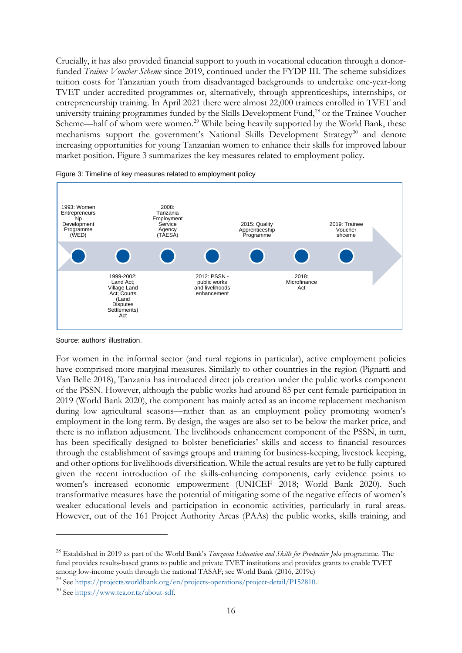Crucially, it has also provided financial support to youth in vocational education through a donorfunded *Trainee Voucher Scheme* since 2019, continued under the FYDP III. The scheme subsidizes tuition costs for Tanzanian youth from disadvantaged backgrounds to undertake one-year-long TVET under accredited programmes or, alternatively, through apprenticeships, internships, or entrepreneurship training. In April 2021 there were almost 22,000 trainees enrolled in TVET and university training programmes funded by the Skills Development Fund,<sup>[28](#page-17-0)</sup> or the Trainee Voucher Scheme—half of whom were women.<sup>[29](#page-17-1)</sup> While being heavily supported by the World Bank, these mechanisms support the government's National Skills Development Strategy<sup>[30](#page-17-2)</sup> and denote increasing opportunities for young Tanzanian women to enhance their skills for improved labour market position. Figure 3 summarizes the key measures related to employment policy.





Source: authors' illustration.

For women in the informal sector (and rural regions in particular), active employment policies have comprised more marginal measures. Similarly to other countries in the region (Pignatti and Van Belle 2018), Tanzania has introduced direct job creation under the public works component of the PSSN. However, although the public works had around 85 per cent female participation in 2019 (World Bank 2020), the component has mainly acted as an income replacement mechanism during low agricultural seasons—rather than as an employment policy promoting women's employment in the long term. By design, the wages are also set to be below the market price, and there is no inflation adjustment. The livelihoods enhancement component of the PSSN, in turn, has been specifically designed to bolster beneficiaries' skills and access to financial resources through the establishment of savings groups and training for business-keeping, livestock keeping, and other options for livelihoods diversification. While the actual results are yet to be fully captured given the recent introduction of the skills-enhancing components, early evidence points to women's increased economic empowerment (UNICEF 2018; World Bank 2020). Such transformative measures have the potential of mitigating some of the negative effects of women's weaker educational levels and participation in economic activities, particularly in rural areas. However, out of the 161 Project Authority Areas (PAAs) the public works, skills training, and

<span id="page-17-0"></span><sup>28</sup> Established in 2019 as part of the World Bank's *Tanzania Education and Skills for Productive Jobs* programme. The fund provides results-based grants to public and private TVET institutions and provides grants to enable TVET among low-income youth through the national TASAF; see World Bank (2016, 2019c)

<span id="page-17-2"></span><span id="page-17-1"></span><sup>&</sup>lt;sup>29</sup> See https://projects.worldbank.org/en/projects-operations/project-detail/P152810.<br><sup>30</sup> See https://www.tea.or.tz/about-sdf.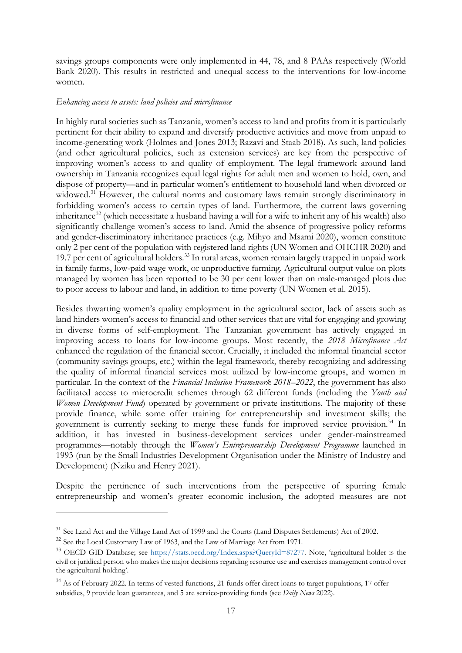savings groups components were only implemented in 44, 78, and 8 PAAs respectively (World Bank 2020). This results in restricted and unequal access to the interventions for low-income women.

#### *Enhancing access to assets: land policies and microfinance*

In highly rural societies such as Tanzania, women's access to land and profits from it is particularly pertinent for their ability to expand and diversify productive activities and move from unpaid to income-generating work (Holmes and Jones 2013; Razavi and Staab 2018). As such, land policies (and other agricultural policies, such as extension services) are key from the perspective of improving women's access to and quality of employment. The legal framework around land ownership in Tanzania recognizes equal legal rights for adult men and women to hold, own, and dispose of property—and in particular women's entitlement to household land when divorced or widowed.<sup>[31](#page-18-0)</sup> However, the cultural norms and customary laws remain strongly discriminatory in forbidding women's access to certain types of land. Furthermore, the current laws governing inheritance<sup>[32](#page-18-1)</sup> (which necessitate a husband having a will for a wife to inherit any of his wealth) also significantly challenge women's access to land. Amid the absence of progressive policy reforms and gender-discriminatory inheritance practices (e.g. Mihyo and Msami 2020), women constitute only 2 per cent of the population with registered land rights (UN Women and OHCHR 2020) and 19.7 per cent of agricultural holders. [33](#page-18-2) In rural areas, women remain largely trapped in unpaid work in family farms, low-paid wage work, or unproductive farming. Agricultural output value on plots managed by women has been reported to be 30 per cent lower than on male-managed plots due to poor access to labour and land, in addition to time poverty (UN Women et al. 2015).

Besides thwarting women's quality employment in the agricultural sector, lack of assets such as land hinders women's access to financial and other services that are vital for engaging and growing in diverse forms of self-employment. The Tanzanian government has actively engaged in improving access to loans for low-income groups. Most recently, the *2018 Microfinance Act* enhanced the regulation of the financial sector. Crucially, it included the informal financial sector (community savings groups, etc.) within the legal framework, thereby recognizing and addressing the quality of informal financial services most utilized by low-income groups, and women in particular. In the context of the *Financial Inclusion Framework 2018–2022*, the government has also facilitated access to microcredit schemes through 62 different funds (including the *Youth and Women Development Fund*) operated by government or private institutions. The majority of these provide finance, while some offer training for entrepreneurship and investment skills; the government is currently seeking to merge these funds for improved service provision. [34](#page-18-3) In addition, it has invested in business-development services under gender-mainstreamed programmes—notably through the *Women's Entrepreneurship Development Programme* launched in 1993 (run by the Small Industries Development Organisation under the Ministry of Industry and Development) (Nziku and Henry 2021).

Despite the pertinence of such interventions from the perspective of spurring female entrepreneurship and women's greater economic inclusion, the adopted measures are not

<span id="page-18-0"></span><sup>31</sup> See Land Act and the Village Land Act of 1999 and the Courts (Land Disputes Settlements) Act of 2002.

<span id="page-18-1"></span><sup>&</sup>lt;sup>32</sup> See the Local Customary Law of 1963, and the Law of Marriage Act from 1971.

<span id="page-18-2"></span><sup>33</sup> OECD GID Database; see https://stats.oecd.org/Index.aspx?QueryId=87277. Note, 'agricultural holder is the civil or juridical person who makes the major decisions regarding resource use and exercises management control over the agricultural holding'.

<span id="page-18-3"></span><sup>&</sup>lt;sup>34</sup> As of February 2022. In terms of vested functions, 21 funds offer direct loans to target populations, 17 offer subsidies, 9 provide loan guarantees, and 5 are service-providing funds (see *Daily News* 2022).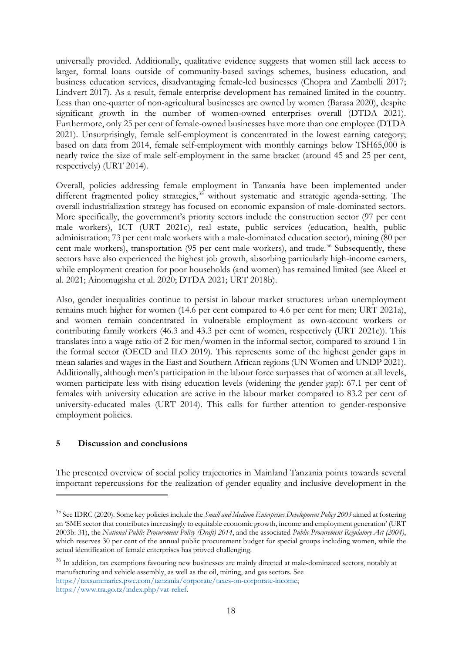universally provided. Additionally, qualitative evidence suggests that women still lack access to larger, formal loans outside of community-based savings schemes, business education, and business education services, disadvantaging female-led businesses (Chopra and Zambelli 2017; Lindvert 2017). As a result, female enterprise development has remained limited in the country. Less than one-quarter of non-agricultural businesses are owned by women (Barasa 2020), despite significant growth in the number of women-owned enterprises overall (DTDA 2021). Furthermore, only 25 per cent of female-owned businesses have more than one employee (DTDA 2021). Unsurprisingly, female self-employment is concentrated in the lowest earning category; based on data from 2014, female self-employment with monthly earnings below TSH65,000 is nearly twice the size of male self-employment in the same bracket (around 45 and 25 per cent, respectively) (URT 2014).

Overall, policies addressing female employment in Tanzania have been implemented under different fragmented policy strategies,<sup>[35](#page-19-0)</sup> without systematic and strategic agenda-setting. The overall industrialization strategy has focused on economic expansion of male-dominated sectors. More specifically, the government's priority sectors include the construction sector (97 per cent male workers), ICT (URT 2021c), real estate, public services (education, health, public administration; 73 per cent male workers with a male-dominated education sector), mining (80 per cent male workers), transportation (95 per cent male workers), and trade.<sup>[36](#page-19-1)</sup> Subsequently, these sectors have also experienced the highest job growth, absorbing particularly high-income earners, while employment creation for poor households (and women) has remained limited (see Akeel et al. 2021; Ainomugisha et al. 2020; DTDA 2021; URT 2018b).

Also, gender inequalities continue to persist in labour market structures: urban unemployment remains much higher for women (14.6 per cent compared to 4.6 per cent for men; URT 2021a), and women remain concentrated in vulnerable employment as own-account workers or contributing family workers (46.3 and 43.3 per cent of women, respectively (URT 2021c)). This translates into a wage ratio of 2 for men/women in the informal sector, compared to around 1 in the formal sector (OECD and ILO 2019). This represents some of the highest gender gaps in mean salaries and wages in the East and Southern African regions (UN Women and UNDP 2021). Additionally, although men's participation in the labour force surpasses that of women at all levels, women participate less with rising education levels (widening the gender gap): 67.1 per cent of females with university education are active in the labour market compared to 83.2 per cent of university-educated males (URT 2014). This calls for further attention to gender-responsive employment policies.

## **5 Discussion and conclusions**

The presented overview of social policy trajectories in Mainland Tanzania points towards several important repercussions for the realization of gender equality and inclusive development in the

<span id="page-19-1"></span><sup>36</sup> In addition, tax exemptions favouring new businesses are mainly directed at male-dominated sectors, notably at manufacturing and vehicle assembly, as well as the oil, mining, and gas sectors. See https://taxsummaries.pwc.com/tanzania/corporate/taxes-on-corporate-income; https://www.tra.go.tz/index.php/vat-relief.

<span id="page-19-0"></span><sup>35</sup> See IDRC (2020). Some key policies include the *Small and Medium Enterprises Development Policy 2003* aimed at fostering an 'SME sector that contributes increasingly to equitable economic growth, income and employment generation' (URT 2003b: 31), the *National Public Procurement Policy (Draft) 2014*, and the associated *Public Procurement Regulatory Act (2004)*, which reserves 30 per cent of the annual public procurement budget for special groups including women, while the actual identification of female enterprises has proved challenging.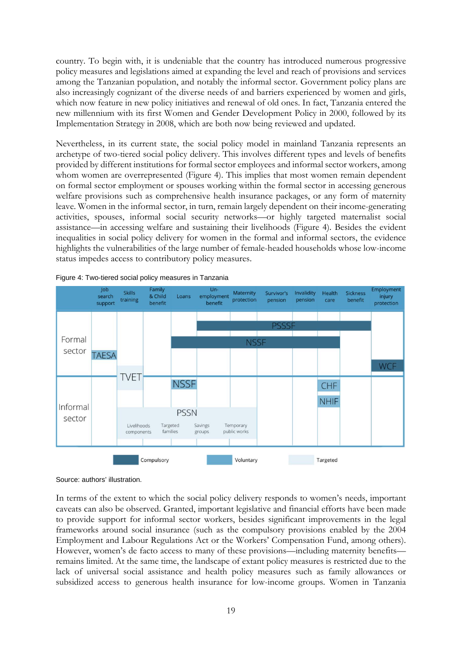country. To begin with, it is undeniable that the country has introduced numerous progressive policy measures and legislations aimed at expanding the level and reach of provisions and services among the Tanzanian population, and notably the informal sector. Government policy plans are also increasingly cognizant of the diverse needs of and barriers experienced by women and girls, which now feature in new policy initiatives and renewal of old ones. In fact, Tanzania entered the new millennium with its first Women and Gender Development Policy in 2000, followed by its Implementation Strategy in 2008, which are both now being reviewed and updated.

Nevertheless, in its current state, the social policy model in mainland Tanzania represents an archetype of two-tiered social policy delivery. This involves different types and levels of benefits provided by different institutions for formal sector employees and informal sector workers, among whom women are overrepresented (Figure 4). This implies that most women remain dependent on formal sector employment or spouses working within the formal sector in accessing generous welfare provisions such as comprehensive health insurance packages, or any form of maternity leave. Women in the informal sector, in turn, remain largely dependent on their income-generating activities, spouses, informal social security networks—or highly targeted maternalist social assistance—in accessing welfare and sustaining their livelihoods (Figure 4). Besides the evident inequalities in social policy delivery for women in the formal and informal sectors, the evidence highlights the vulnerabilities of the large number of female-headed households whose low-income status impedes access to contributory policy measures.



Figure 4: Two-tiered social policy measures in Tanzania

In terms of the extent to which the social policy delivery responds to women's needs, important caveats can also be observed. Granted, important legislative and financial efforts have been made to provide support for informal sector workers, besides significant improvements in the legal frameworks around social insurance (such as the compulsory provisions enabled by the 2004 Employment and Labour Regulations Act or the Workers' Compensation Fund, among others). However, women's de facto access to many of these provisions—including maternity benefits remains limited. At the same time, the landscape of extant policy measures is restricted due to the lack of universal social assistance and health policy measures such as family allowances or subsidized access to generous health insurance for low-income groups. Women in Tanzania

Source: authors' illustration.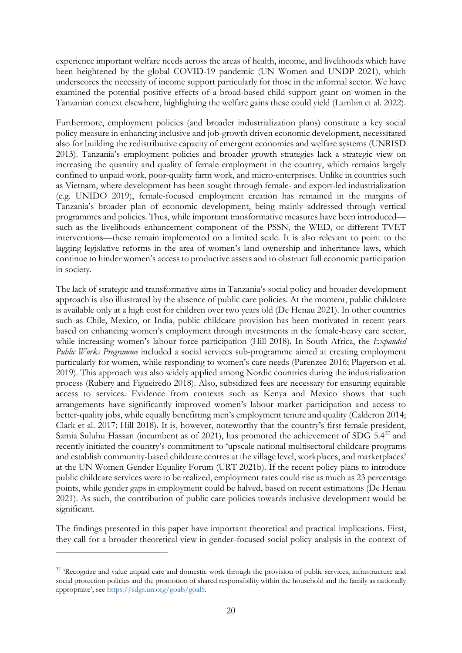experience important welfare needs across the areas of health, income, and livelihoods which have been heightened by the global COVID-19 pandemic (UN Women and UNDP 2021), which underscores the necessity of income support particularly for those in the informal sector. We have examined the potential positive effects of a broad-based child support grant on women in the Tanzanian context elsewhere, highlighting the welfare gains these could yield (Lambin et al. 2022).

Furthermore, employment policies (and broader industrialization plans) constitute a key social policy measure in enhancing inclusive and job-growth driven economic development, necessitated also for building the redistributive capacity of emergent economies and welfare systems (UNRISD 2013). Tanzania's employment policies and broader growth strategies lack a strategic view on increasing the quantity and quality of female employment in the country, which remains largely confined to unpaid work, poor-quality farm work, and micro-enterprises. Unlike in countries such as Vietnam, where development has been sought through female- and export-led industrialization (e.g. UNIDO 2019), female-focused employment creation has remained in the margins of Tanzania's broader plan of economic development, being mainly addressed through vertical programmes and policies. Thus, while important transformative measures have been introduced such as the livelihoods enhancement component of the PSSN, the WED, or different TVET interventions—these remain implemented on a limited scale. It is also relevant to point to the lagging legislative reforms in the area of women's land ownership and inheritance laws, which continue to hinder women's access to productive assets and to obstruct full economic participation in society.

The lack of strategic and transformative aims in Tanzania's social policy and broader development approach is also illustrated by the absence of public care policies. At the moment, public childcare is available only at a high cost for children over two years old (De Henau 2021). In other countries such as Chile, Mexico, or India, public childcare provision has been motivated in recent years based on enhancing women's employment through investments in the female-heavy care sector, while increasing women's labour force participation (Hill 2018). In South Africa, the *Expanded Public Works Programme* included a social services sub-programme aimed at creating employment particularly for women, while responding to women's care needs (Parenzee 2016; Plagerson et al. 2019). This approach was also widely applied among Nordic countries during the industrialization process (Rubery and Figueiredo 2018). Also, subsidized fees are necessary for ensuring equitable access to services. Evidence from contexts such as Kenya and Mexico shows that such arrangements have significantly improved women's labour market participation and access to better-quality jobs, while equally benefitting men's employment tenure and quality (Calderon 2014; Clark et al. 2017; Hill 2018). It is, however, noteworthy that the country's first female president, Samia Suluhu Hassan (incumbent as of 2021), has promoted the achievement of SDG  $5.4^{37}$  $5.4^{37}$  $5.4^{37}$  and recently initiated the country's commitment to 'upscale national multisectoral childcare programs and establish community-based childcare centres at the village level, workplaces, and marketplaces' at the UN Women Gender Equality Forum (URT 2021b). If the recent policy plans to introduce public childcare services were to be realized, employment rates could rise as much as 23 percentage points, while gender gaps in employment could be halved, based on recent estimations (De Henau 2021). As such, the contribution of public care policies towards inclusive development would be significant.

The findings presented in this paper have important theoretical and practical implications. First, they call for a broader theoretical view in gender-focused social policy analysis in the context of

<span id="page-21-0"></span><sup>&</sup>lt;sup>37</sup> 'Recognize and value unpaid care and domestic work through the provision of public services, infrastructure and social protection policies and the promotion of shared responsibility within the household and the family as nationally appropriate'; see https://sdgs.un.org/goals/goal5.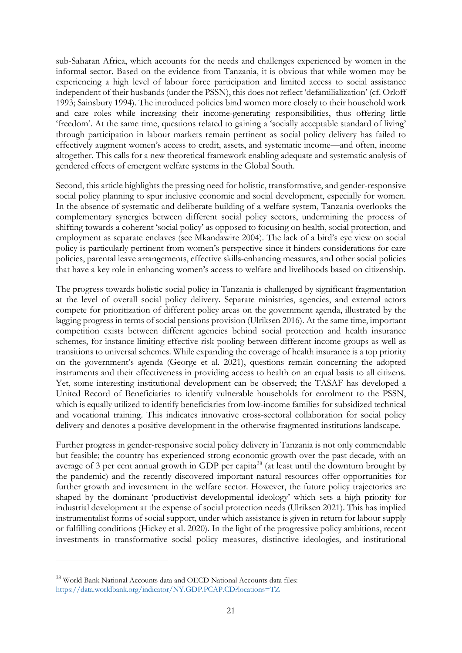sub-Saharan Africa, which accounts for the needs and challenges experienced by women in the informal sector. Based on the evidence from Tanzania, it is obvious that while women may be experiencing a high level of labour force participation and limited access to social assistance independent of their husbands (under the PSSN), this does not reflect 'defamilialization' (cf. Orloff 1993; Sainsbury 1994). The introduced policies bind women more closely to their household work and care roles while increasing their income-generating responsibilities, thus offering little 'freedom'. At the same time, questions related to gaining a 'socially acceptable standard of living' through participation in labour markets remain pertinent as social policy delivery has failed to effectively augment women's access to credit, assets, and systematic income—and often, income altogether. This calls for a new theoretical framework enabling adequate and systematic analysis of gendered effects of emergent welfare systems in the Global South.

Second, this article highlights the pressing need for holistic, transformative, and gender-responsive social policy planning to spur inclusive economic and social development, especially for women. In the absence of systematic and deliberate building of a welfare system, Tanzania overlooks the complementary synergies between different social policy sectors, undermining the process of shifting towards a coherent 'social policy' as opposed to focusing on health, social protection, and employment as separate enclaves (see Mkandawire 2004). The lack of a bird's eye view on social policy is particularly pertinent from women's perspective since it hinders considerations for care policies, parental leave arrangements, effective skills-enhancing measures, and other social policies that have a key role in enhancing women's access to welfare and livelihoods based on citizenship.

The progress towards holistic social policy in Tanzania is challenged by significant fragmentation at the level of overall social policy delivery. Separate ministries, agencies, and external actors compete for prioritization of different policy areas on the government agenda, illustrated by the lagging progress in terms of social pensions provision (Ulriksen 2016). At the same time, important competition exists between different agencies behind social protection and health insurance schemes, for instance limiting effective risk pooling between different income groups as well as transitions to universal schemes. While expanding the coverage of health insurance is a top priority on the government's agenda (George et al. 2021), questions remain concerning the adopted instruments and their effectiveness in providing access to health on an equal basis to all citizens. Yet, some interesting institutional development can be observed; the TASAF has developed a United Record of Beneficiaries to identify vulnerable households for enrolment to the PSSN, which is equally utilized to identify beneficiaries from low-income families for subsidized technical and vocational training. This indicates innovative cross-sectoral collaboration for social policy delivery and denotes a positive development in the otherwise fragmented institutions landscape.

Further progress in gender-responsive social policy delivery in Tanzania is not only commendable but feasible; the country has experienced strong economic growth over the past decade, with an average of 3 per cent annual growth in GDP per capita<sup>[38](#page-22-0)</sup> (at least until the downturn brought by the pandemic) and the recently discovered important natural resources offer opportunities for further growth and investment in the welfare sector. However, the future policy trajectories are shaped by the dominant 'productivist developmental ideology' which sets a high priority for industrial development at the expense of social protection needs (Ulriksen 2021). This has implied instrumentalist forms of social support, under which assistance is given in return for labour supply or fulfilling conditions (Hickey et al. 2020). In the light of the progressive policy ambitions, recent investments in transformative social policy measures, distinctive ideologies, and institutional

<span id="page-22-0"></span><sup>38</sup> World Bank National Accounts data and OECD National Accounts data files: https://data.worldbank.org/indicator/NY.GDP.PCAP.CD?locations=TZ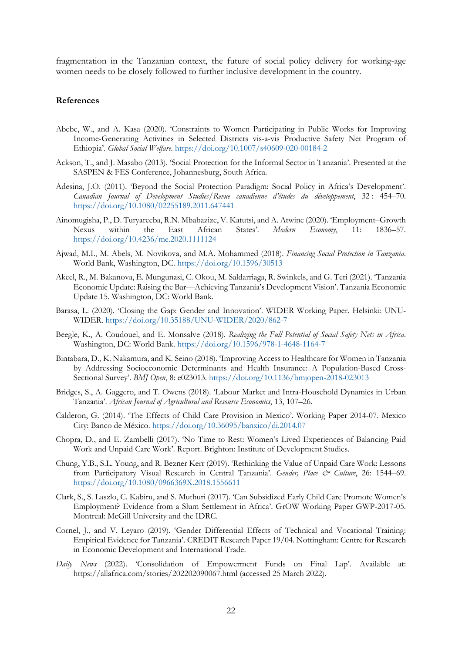fragmentation in the Tanzanian context, the future of social policy delivery for working-age women needs to be closely followed to further inclusive development in the country.

#### **References**

- Abebe, W., and A. Kasa (2020). 'Constraints to Women Participating in Public Works for Improving Income-Generating Activities in Selected Districts vis-a-vis Productive Safety Net Program of Ethiopia'. *Global Social Welfare*.<https://doi.org/10.1007/s40609-020-00184-2>
- Ackson, T., and J. Masabo (2013). 'Social Protection for the Informal Sector in Tanzania'. Presented at the SASPEN & FES Conference, Johannesburg, South Africa.
- Adesina, J.O. (2011). 'Beyond the Social Protection Paradigm: Social Policy in Africa's Development'. *Canadian Journal of Development Studies/Revue canadienne d'études du développement*, 32 : 454–70. <https://doi.org/10.1080/02255189.2011.647441>
- Ainomugisha, P., D. Turyareeba, R.N. Mbabazize, V. Katutsi, and A. Atwine (2020). 'Employment–Growth Nexus within the East African States'. *Modern Economy*, 11: 1836–57. <https://doi.org/10.4236/me.2020.1111124>
- Ajwad, M.I., M. Abels, M. Novikova, and M.A. Mohammed (2018). *Financing Social Protection in Tanzania*. World Bank, Washington, DC. <https://doi.org/10.1596/30513>
- Akeel, R., M. Bakanova, E. Mungunasi, C. Okou, M. Saldarriaga, R. Swinkels, and G. Teri (2021). 'Tanzania Economic Update: Raising the Bar—Achieving Tanzania's Development Vision'. Tanzania Economic Update 15. Washington, DC: World Bank.
- Barasa, L. (2020). 'Closing the Gap: Gender and Innovation'. WIDER Working Paper. Helsinki: UNU-WIDER.<https://doi.org/10.35188/UNU-WIDER/2020/862-7>
- Beegle, K., A. Coudouel, and E. Monsalve (2018). *Realizing the Full Potential of Social Safety Nets in Africa*. Washington, DC: World Bank.<https://doi.org/10.1596/978-1-4648-1164-7>
- Bintabara, D., K. Nakamura, and K. Seino (2018). 'Improving Access to Healthcare for Women in Tanzania by Addressing Socioeconomic Determinants and Health Insurance: A Population-Based Cross-Sectional Survey'. *BMJ Open*, 8: e023013.<https://doi.org/10.1136/bmjopen-2018-023013>
- Bridges, S., A. Gaggero, and T. Owens (2018). 'Labour Market and Intra-Household Dynamics in Urban Tanzania'. *African Journal of Agricultural and Resource Economics*, 13, 107–26.
- Calderon, G. (2014). 'The Effects of Child Care Provision in Mexico'. Working Paper 2014-07. Mexico City: Banco de México.<https://doi.org/10.36095/banxico/di.2014.07>
- Chopra, D., and E. Zambelli (2017). 'No Time to Rest: Women's Lived Experiences of Balancing Paid Work and Unpaid Care Work'. Report. Brighton: Institute of Development Studies.
- Chung, Y.B., S.L. Young, and R. Bezner Kerr (2019). 'Rethinking the Value of Unpaid Care Work: Lessons from Participatory Visual Research in Central Tanzania'. *Gender, Place & Culture*, 26: 1544–69. <https://doi.org/10.1080/0966369X.2018.1556611>
- Clark, S., S. Laszlo, C. Kabiru, and S. Muthuri (2017). 'Can Subsidized Early Child Care Promote Women's Employment? Evidence from a Slum Settlement in Africa'. GrOW Working Paper GWP-2017-05. Montreal: McGill University and the IDRC.
- Cornel, J., and V. Leyaro (2019). 'Gender Differential Effects of Technical and Vocational Training: Empirical Evidence for Tanzania'. CREDIT Research Paper 19/04. Nottingham: Centre for Research in Economic Development and International Trade.
- *Daily News* (2022). 'Consolidation of Empowerment Funds on Final Lap'. Available at: https://allafrica.com/stories/202202090067.html (accessed 25 March 2022).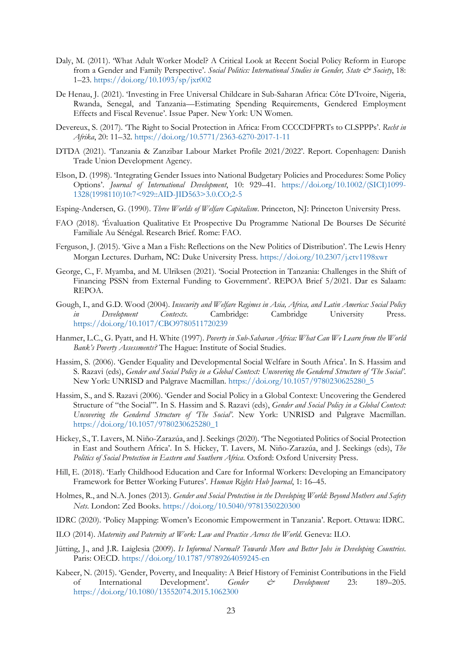- Daly, M. (2011). 'What Adult Worker Model? A Critical Look at Recent Social Policy Reform in Europe from a Gender and Family Perspective'. *Social Politics: International Studies in Gender, State & Society*, 18: 1–23.<https://doi.org/10.1093/sp/jxr002>
- De Henau, J. (2021). 'Investing in Free Universal Childcare in Sub-Saharan Africa: Côte D'Ivoire, Nigeria, Rwanda, Senegal, and Tanzania—Estimating Spending Requirements, Gendered Employment Effects and Fiscal Revenue'. Issue Paper. New York: UN Women.
- Devereux, S. (2017). 'The Right to Social Protection in Africa: From CCCCDFPRTs to CLSPPPs'. *Recht in Afrika*, 20: 11–32.<https://doi.org/10.5771/2363-6270-2017-1-11>
- DTDA (2021). 'Tanzania & Zanzibar Labour Market Profile 2021/2022'. Report. Copenhagen: Danish Trade Union Development Agency.
- Elson, D. (1998). 'Integrating Gender Issues into National Budgetary Policies and Procedures: Some Policy Options'. *Journal of International Development*, 10: 929–41. [https://doi.org/10.1002/\(SICI\)1099-](https://doi.org/10.1002/(SICI)1099-1328(1998110)10:7%3c929::AID-JID563%3e3.0.CO;2-5) [1328\(1998110\)10:7<929::AID-JID563>3.0.CO;2-5](https://doi.org/10.1002/(SICI)1099-1328(1998110)10:7%3c929::AID-JID563%3e3.0.CO;2-5)
- Esping-Andersen, G. (1990). *Three Worlds of Welfare Capitalism*. Princeton, NJ: Princeton University Press.
- FAO (2018). 'Évaluation Qualitative Et Prospective Du Programme National De Bourses De Sécurité Familiale Au Sénégal. Research Brief. Rome: FAO.
- Ferguson, J. (2015). 'Give a Man a Fish: Reflections on the New Politics of Distribution'. The Lewis Henry Morgan Lectures. Durham, NC: Duke University Press.<https://doi.org/10.2307/j.ctv1198xwr>
- George, C., F. Myamba, and M. Ulriksen (2021). 'Social Protection in Tanzania: Challenges in the Shift of Financing PSSN from External Funding to Government'. REPOA Brief 5/2021. Dar es Salaam: REPOA.
- Gough, I., and G.D. Wood (2004). *Insecurity and Welfare Regimes in Asia, Africa, and Latin America: Social Policy in Development Contexts*. Cambridge: Cambridge University Press. <https://doi.org/10.1017/CBO9780511720239>
- Hanmer, L.C., G. Pyatt, and H. White (1997). *Poverty in Sub-Saharan Africa: What Can We Learn from the World Bank's Poverty Assessments?* The Hague: Institute of Social Studies.
- Hassim, S. (2006). 'Gender Equality and Developmental Social Welfare in South Africa'. In S. Hassim and S. Razavi (eds), *Gender and Social Policy in a Global Context: Uncovering the Gendered Structure of 'The Social'*. New York: UNRISD and Palgrave Macmillan. [https://doi.org/10.1057/9780230625280\\_5](https://doi.org/10.1057/9780230625280_5)
- Hassim, S., and S. Razavi (2006). 'Gender and Social Policy in a Global Context: Uncovering the Gendered Structure of "the Social"'. In S. Hassim and S. Razavi (eds), *Gender and Social Policy in a Global Context: Uncovering the Gendered Structure of 'The Social'*. New York: UNRISD and Palgrave Macmillan. [https://doi.org/10.1057/9780230625280\\_1](https://doi.org/10.1057/9780230625280_1)
- Hickey, S., T. Lavers, M. Niño-Zarazúa, and J. Seekings (2020). 'The Negotiated Politics of Social Protection in East and Southern Africa'. In S. Hickey, T. Lavers, M. Niño-Zarazúa, and J. Seekings (eds), *The Politics of Social Protection in Eastern and Southern Africa*. Oxford: Oxford University Press.
- Hill, E. (2018). 'Early Childhood Education and Care for Informal Workers: Developing an Emancipatory Framework for Better Working Futures'. *Human Rights Hub Journal*, 1: 16–45.
- Holmes, R., and N.A. Jones (2013). *Gender and Social Protection in the Developing World: Beyond Mothers and Safety Nets*. London: Zed Books.<https://doi.org/10.5040/9781350220300>
- IDRC (2020). 'Policy Mapping: Women's Economic Empowerment in Tanzania'. Report. Ottawa: IDRC.
- ILO (2014). *Maternity and Paternity at Work: Law and Practice Across the World*. Geneva: ILO.
- Jütting, J., and J.R. Laiglesia (2009). *Is Informal Normal? Towards More and Better Jobs in Developing Countries*. Paris: OECD.<https://doi.org/10.1787/9789264059245-en>
- Kabeer, N. (2015). 'Gender, Poverty, and Inequality: A Brief History of Feminist Contributions in the Field of International Development'. *Gender & Development* 23: 189–205. <https://doi.org/10.1080/13552074.2015.1062300>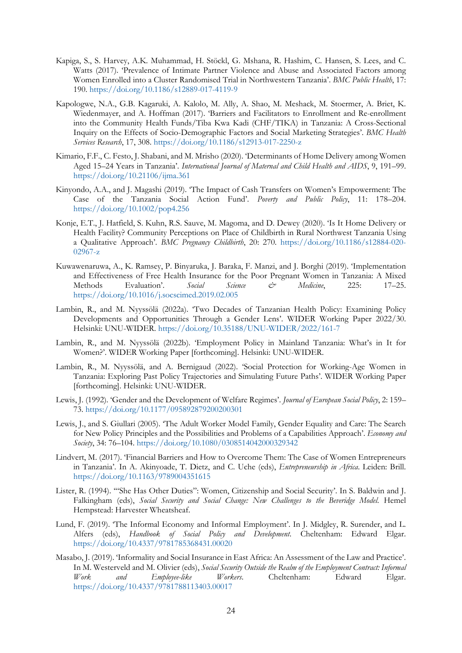- Kapiga, S., S. Harvey, A.K. Muhammad, H. Stöckl, G. Mshana, R. Hashim, C. Hansen, S. Lees, and C. Watts (2017). 'Prevalence of Intimate Partner Violence and Abuse and Associated Factors among Women Enrolled into a Cluster Randomised Trial in Northwestern Tanzania'. *BMC Public Health*, 17: 190.<https://doi.org/10.1186/s12889-017-4119-9>
- Kapologwe, N.A., G.B. Kagaruki, A. Kalolo, M. Ally, A. Shao, M. Meshack, M. Stoermer, A. Briet, K. Wiedenmayer, and A. Hoffman (2017). 'Barriers and Facilitators to Enrollment and Re-enrollment into the Community Health Funds/Tiba Kwa Kadi (CHF/TIKA) in Tanzania: A Cross-Sectional Inquiry on the Effects of Socio-Demographic Factors and Social Marketing Strategies'. *BMC Health Services Research*, 17, 308.<https://doi.org/10.1186/s12913-017-2250-z>
- Kimario, F.F., C. Festo, J. Shabani, and M. Mrisho (2020). 'Determinants of Home Delivery among Women Aged 15–24 Years in Tanzania'. *International Journal of Maternal and Child Health and AIDS*, 9, 191–99. <https://doi.org/10.21106/ijma.361>
- Kinyondo, A.A., and J. Magashi (2019). 'The Impact of Cash Transfers on Women's Empowerment: The Case of the Tanzania Social Action Fund'. *Poverty and Public Policy*, 11: 178–204. <https://doi.org/10.1002/pop4.256>
- Konje, E.T., J. Hatfield, S. Kuhn, R.S. Sauve, M. Magoma, and D. Dewey (2020). 'Is It Home Delivery or Health Facility? Community Perceptions on Place of Childbirth in Rural Northwest Tanzania Using a Qualitative Approach'. *BMC Pregnancy Childbirth*, 20: 270. [https://doi.org/10.1186/s12884-020-](https://doi.org/10.1186/s12884-020-02967-z) [02967-z](https://doi.org/10.1186/s12884-020-02967-z)
- Kuwawenaruwa, A., K. Ramsey, P. Binyaruka, J. Baraka, F. Manzi, and J. Borghi (2019). 'Implementation and Effectiveness of Free Health Insurance for the Poor Pregnant Women in Tanzania: A Mixed Methods Evaluation'. *Social Science & Medicine*, 225: 17–25. <https://doi.org/10.1016/j.socscimed.2019.02.005>
- Lambin, R., and M. Nyyssölä (2022a). 'Two Decades of Tanzanian Health Policy: Examining Policy Developments and Opportunities Through a Gender Lens'. WIDER Working Paper 2022/30. Helsinki: UNU-WIDER. <https://doi.org/10.35188/UNU-WIDER/2022/161-7>
- Lambin, R., and M. Nyyssölä (2022b). 'Employment Policy in Mainland Tanzania: What's in It for Women?'. WIDER Working Paper [forthcoming]. Helsinki: UNU-WIDER.
- Lambin, R., M. Nyyssölä, and A. Bernigaud (2022). 'Social Protection for Working-Age Women in Tanzania: Exploring Past Policy Trajectories and Simulating Future Paths'. WIDER Working Paper [forthcoming]. Helsinki: UNU-WIDER.
- Lewis, J. (1992). 'Gender and the Development of Welfare Regimes'. *Journal of European Social Policy*, 2: 159– 73.<https://doi.org/10.1177/095892879200200301>
- Lewis, J., and S. Giullari (2005). 'The Adult Worker Model Family, Gender Equality and Care: The Search for New Policy Principles and the Possibilities and Problems of a Capabilities Approach'. *Economy and Society*, 34: 76–104.<https://doi.org/10.1080/0308514042000329342>
- Lindvert, M. (2017). 'Financial Barriers and How to Overcome Them: The Case of Women Entrepreneurs in Tanzania'. In A. Akinyoade, T. Dietz, and C. Uche (eds), *Entrepreneurship in Africa*. Leiden: Brill. <https://doi.org/10.1163/9789004351615>
- Lister, R. (1994). '"She Has Other Duties": Women, Citizenship and Social Security'. In S. Baldwin and J. Falkingham (eds), *Social Security and Social Change: New Challenges to the Beveridge Model*. Hemel Hempstead: Harvester Wheatsheaf.
- Lund, F. (2019). 'The Informal Economy and Informal Employment'. In J. Midgley, R. Surender, and L. Alfers (eds), *Handbook of Social Policy and Development*. Cheltenham: Edward Elgar. <https://doi.org/10.4337/9781785368431.00020>
- Masabo, J. (2019). 'Informality and Social Insurance in East Africa: An Assessment of the Law and Practice'. In M. Westerveld and M. Olivier (eds), *Social Security Outside the Realm of the Employment Contract: Informal Work and Employee-like Workers*. Cheltenham: Edward Elgar. <https://doi.org/10.4337/9781788113403.00017>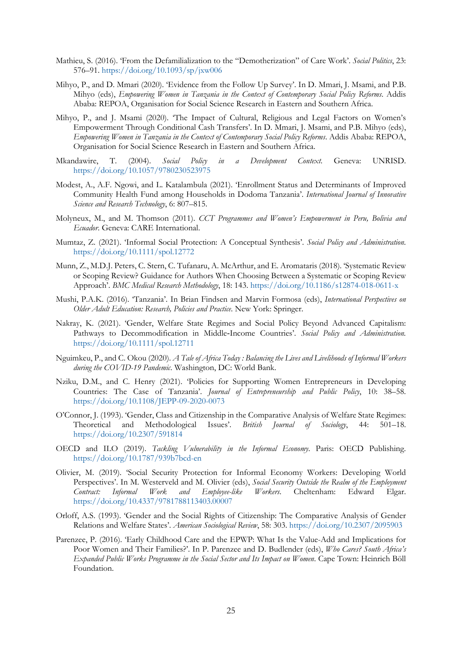- Mathieu, S. (2016). 'From the Defamilialization to the "Demotherization" of Care Work'. *Social Politics*, 23: 576–91.<https://doi.org/10.1093/sp/jxw006>
- Mihyo, P., and D. Mmari (2020). 'Evidence from the Follow Up Survey'. In D. Mmari, J. Msami, and P.B. Mihyo (eds), *Empowering Women in Tanzania in the Context of Contemporary Social Policy Reforms*. Addis Ababa: REPOA, Organisation for Social Science Research in Eastern and Southern Africa.
- Mihyo, P., and J. Msami (2020). 'The Impact of Cultural, Religious and Legal Factors on Women's Empowerment Through Conditional Cash Transfers'. In D. Mmari, J. Msami, and P.B. Mihyo (eds), *Empowering Women in Tanzania in the Context of Contemporary Social Policy Reforms*. Addis Ababa: REPOA, Organisation for Social Science Research in Eastern and Southern Africa.
- Mkandawire, T. (2004). *Social Policy in a Development Context*. Geneva: UNRISD. <https://doi.org/10.1057/9780230523975>
- Modest, A., A.F. Ngowi, and L. Katalambula (2021). 'Enrollment Status and Determinants of Improved Community Health Fund among Households in Dodoma Tanzania'. *International Journal of Innovative Science and Research Technology*, 6: 807–815.
- Molyneux, M., and M. Thomson (2011). *CCT Programmes and Women's Empowerment in Peru, Bolivia and Ecuador*. Geneva: CARE International.
- Mumtaz, Z. (2021). 'Informal Social Protection: A Conceptual Synthesis'. *Social Policy and Administration.* <https://doi.org/10.1111/spol.12772>
- Munn, Z., M.D.J. Peters, C. Stern, C. Tufanaru, A. McArthur, and E. Aromataris (2018). 'Systematic Review or Scoping Review? Guidance for Authors When Choosing Between a Systematic or Scoping Review Approach'. *BMC Medical Research Methodology*, 18: 143.<https://doi.org/10.1186/s12874-018-0611-x>
- Mushi, P.A.K. (2016). 'Tanzania'. In Brian Findsen and Marvin Formosa (eds), *International Perspectives on Older Adult Education: Research, Policies and Practice*. New York: Springer.
- Nakray, K. (2021). 'Gender, Welfare State Regimes and Social Policy Beyond Advanced Capitalism: Pathways to Decommodification in Middle‐Income Countries'. *Social Policy and Administration.* <https://doi.org/10.1111/spol.12711>
- Nguimkeu, P., and C. Okou (2020). *A Tale of Africa Today : Balancing the Lives and Livelihoods of Informal Workers during the COVID-19 Pandemic*. Washington, DC: World Bank.
- Nziku, D.M., and C. Henry (2021). 'Policies for Supporting Women Entrepreneurs in Developing Countries: The Case of Tanzania'. *Journal of Entrepreneurship and Public Policy*, 10: 38–58. <https://doi.org/10.1108/JEPP-09-2020-0073>
- O'Connor, J. (1993). 'Gender, Class and Citizenship in the Comparative Analysis of Welfare State Regimes: Theoretical and Methodological Issues'. *British Journal of Sociology*, 44: 501–18. <https://doi.org/10.2307/591814>
- OECD and ILO (2019). *Tackling Vulnerability in the Informal Economy*. Paris: OECD Publishing. <https://doi.org/10.1787/939b7bcd-en>
- Olivier, M. (2019). 'Social Security Protection for Informal Economy Workers: Developing World Perspectives'. In M. Westerveld and M. Olivier (eds), *Social Security Outside the Realm of the Employment Contract: Informal Work and Employee-like Workers*. Cheltenham: Edward Elgar. <https://doi.org/10.4337/9781788113403.00007>
- Orloff, A.S. (1993). 'Gender and the Social Rights of Citizenship: The Comparative Analysis of Gender Relations and Welfare States'. *American Sociological Review*, 58: 303.<https://doi.org/10.2307/2095903>
- Parenzee, P. (2016). 'Early Childhood Care and the EPWP: What Is the Value-Add and Implications for Poor Women and Their Families?'. In P. Parenzee and D. Budlender (eds), *Who Cares? South Africa's Expanded Public Works Programme in the Social Sector and Its Impact on Women*. Cape Town: Heinrich Böll Foundation.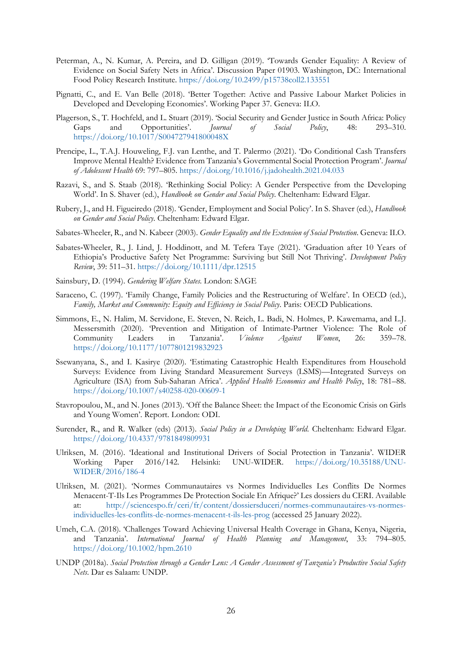- Peterman, A., N. Kumar, A. Pereira, and D. Gilligan (2019). 'Towards Gender Equality: A Review of Evidence on Social Safety Nets in Africa'. Discussion Paper 01903. Washington, DC: International Food Policy Research Institute.<https://doi.org/10.2499/p15738coll2.133551>
- Pignatti, C., and E. Van Belle (2018). 'Better Together: Active and Passive Labour Market Policies in Developed and Developing Economies'. Working Paper 37. Geneva: ILO.
- Plagerson, S., T. Hochfeld, and L. Stuart (2019). 'Social Security and Gender Justice in South Africa: Policy Gaps and Opportunities'. *Journal of Social Policy*, 48: 293–310. <https://doi.org/10.1017/S004727941800048X>
- Prencipe, L., T.A.J. Houweling, F.J. van Lenthe, and T. Palermo (2021). 'Do Conditional Cash Transfers Improve Mental Health? Evidence from Tanzania's Governmental Social Protection Program'. *Journal of Adolescent Health* 69: 797–805.<https://doi.org/10.1016/j.jadohealth.2021.04.033>
- Razavi, S., and S. Staab (2018). 'Rethinking Social Policy: A Gender Perspective from the Developing World'. In S. Shaver (ed.), *Handbook on Gender and Social Policy*. Cheltenham: Edward Elgar.
- Rubery, J., and H. Figueiredo (2018). 'Gender, Employment and Social Policy'. In S. Shaver (ed.), *Handbook on Gender and Social Policy*. Cheltenham: Edward Elgar.
- Sabates-Wheeler, R., and N. Kabeer (2003). *Gender Equality and the Extension of Social Protection*. Geneva: ILO.
- Sabates-Wheeler, R., J. Lind, J. Hoddinott, and M. Tefera Taye (2021). 'Graduation after 10 Years of Ethiopia's Productive Safety Net Programme: Surviving but Still Not Thriving'. *Development Policy Review*, 39: 511–31.<https://doi.org/10.1111/dpr.12515>
- Sainsbury, D. (1994). *Gendering Welfare States*. London: SAGE
- Saraceno, C. (1997). 'Family Change, Family Policies and the Restructuring of Welfare'. In OECD (ed.), *Family, Market and Community: Equity and Efficiency in Social Policy*. Paris: OECD Publications.
- Simmons, E., N. Halim, M. Servidone, E. Steven, N. Reich, L. Badi, N. Holmes, P. Kawemama, and L.J. Messersmith (2020). 'Prevention and Mitigation of Intimate-Partner Violence: The Role of Community Leaders in Tanzania'. *Violence Against Women*, 26: 359–78. <https://doi.org/10.1177/1077801219832923>
- Ssewanyana, S., and I. Kasirye (2020). 'Estimating Catastrophic Health Expenditures from Household Surveys: Evidence from Living Standard Measurement Surveys (LSMS)—Integrated Surveys on Agriculture (ISA) from Sub-Saharan Africa'. *Applied Health Economics and Health Policy*, 18: 781–88. <https://doi.org/10.1007/s40258-020-00609-1>
- Stavropoulou, M., and N. Jones (2013). 'Off the Balance Sheet: the Impact of the Economic Crisis on Girls and Young Women'. Report. London: ODI.
- Surender, R., and R. Walker (eds) (2013). *Social Policy in a Developing World*. Cheltenham: Edward Elgar. <https://doi.org/10.4337/9781849809931>
- Ulriksen, M. (2016). 'Ideational and Institutional Drivers of Social Protection in Tanzania'. WIDER Working Paper 2016/142. Helsinki: UNU-WIDER. [https://doi.org/10.35188/UNU-](https://doi.org/10.35188/UNU-WIDER/2016/186-4)[WIDER/2016/186-4](https://doi.org/10.35188/UNU-WIDER/2016/186-4)
- Ulriksen, M. (2021). 'Normes Communautaires vs Normes Individuelles Les Conflits De Normes Menacent-T-Ils Les Programmes De Protection Sociale En Afrique?' Les dossiers du CERI. Available at: [http://sciencespo.fr/ceri/fr/content/dossiersduceri/normes-communautaires-vs-normes](http://sciencespo.fr/ceri/fr/content/dossiersduceri/normes-communautaires-vs-normes-individuelles-les-conflits-de-normes-menacent-t-ils-les-prog)[individuelles-les-conflits-de-normes-menacent-t-ils-les-prog](http://sciencespo.fr/ceri/fr/content/dossiersduceri/normes-communautaires-vs-normes-individuelles-les-conflits-de-normes-menacent-t-ils-les-prog) (accessed 25 January 2022).
- Umeh, C.A. (2018). 'Challenges Toward Achieving Universal Health Coverage in Ghana, Kenya, Nigeria, and Tanzania'. *International Journal of Health Planning and Management*, 33: 794–805. <https://doi.org/10.1002/hpm.2610>
- UNDP (2018a). *Social Protection through a Gender Lens: A Gender Assessment of Tanzania's Productive Social Safety Nets*. Dar es Salaam: UNDP.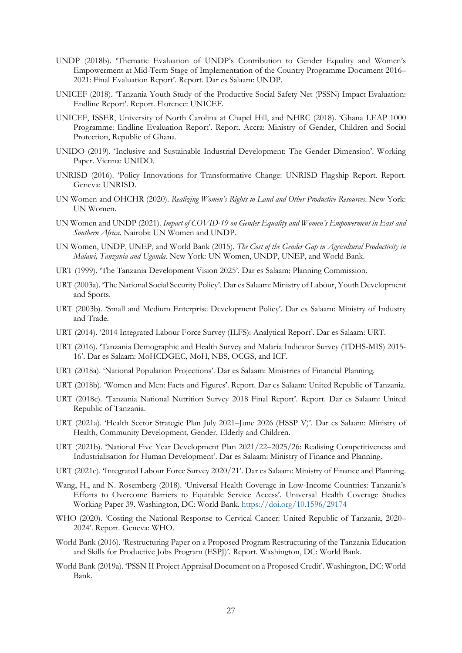- UNDP (2018b). 'Thematic Evaluation of UNDP's Contribution to Gender Equality and Women's Empowerment at Mid-Term Stage of Implementation of the Country Programme Document 2016– 2021: Final Evaluation Report'. Report. Dar es Salaam: UNDP.
- UNICEF (2018). 'Tanzania Youth Study of the Productive Social Safety Net (PSSN) Impact Evaluation: Endline Report'. Report. Florence: UNICEF.
- UNICEF, ISSER, University of North Carolina at Chapel Hill, and NHRC (2018). 'Ghana LEAP 1000 Programme: Endline Evaluation Report'. Report. Accra: Ministry of Gender, Children and Social Protection, Republic of Ghana.
- UNIDO (2019). 'Inclusive and Sustainable Industrial Development: The Gender Dimension'. Working Paper. Vienna: UNIDO.
- UNRISD (2016). 'Policy Innovations for Transformative Change: UNRISD Flagship Report. Report. Geneva: UNRISD.
- UN Women and OHCHR (2020). *Realizing Women's Rights to Land and Other Productive Resources*. New York: UN Women.
- UN Women and UNDP (2021). *Impact of COVID-19 on Gender Equality and Women's Empowerment in East and Southern Africa*. Nairobi: UN Women and UNDP.
- UN Women, UNDP, UNEP, and World Bank (2015). *The Cost of the Gender Gap in Agricultural Productivity in Malawi, Tanzania and Uganda*. New York: UN Women, UNDP, UNEP, and World Bank.
- URT (1999). 'The Tanzania Development Vision 2025'. Dar es Salaam: Planning Commission.
- URT (2003a). 'The National Social Security Policy'. Dar es Salaam: Ministry of Labour, Youth Development and Sports.
- URT (2003b). 'Small and Medium Enterprise Development Policy'. Dar es Salaam: Ministry of Industry and Trade.
- URT (2014). '2014 Integrated Labour Force Survey (ILFS): Analytical Report'. Dar es Salaam: URT.
- URT (2016). 'Tanzania Demographic and Health Survey and Malaria Indicator Survey (TDHS-MIS) 2015- 16'. Dar es Salaam: MoHCDGEC, MoH, NBS, OCGS, and ICF.
- URT (2018a). 'National Population Projections'. Dar es Salaam: Ministries of Financial Planning.
- URT (2018b). 'Women and Men: Facts and Figures'. Report. Dar es Salaam: United Republic of Tanzania.
- URT (2018c). 'Tanzania National Nutrition Survey 2018 Final Report'. Report. Dar es Salaam: United Republic of Tanzania.
- URT (2021a). 'Health Sector Strategic Plan July 2021–June 2026 (HSSP V)'. Dar es Salaam: Ministry of Health, Community Development, Gender, Elderly and Children.
- URT (2021b). 'National Five Year Development Plan 2021/22–2025/26: Realising Competitiveness and Industrialisation for Human Development'. Dar es Salaam: Ministry of Finance and Planning.
- URT (2021c). 'Integrated Labour Force Survey 2020/21'. Dar es Salaam: Ministry of Finance and Planning.
- Wang, H., and N. Rosemberg (2018). 'Universal Health Coverage in Low-Income Countries: Tanzania's Efforts to Overcome Barriers to Equitable Service Access'. Universal Health Coverage Studies Working Paper 39. Washington, DC: World Bank.<https://doi.org/10.1596/29174>
- WHO (2020). 'Costing the National Response to Cervical Cancer: United Republic of Tanzania, 2020– 2024'. Report. Geneva: WHO.
- World Bank (2016). 'Restructuring Paper on a Proposed Program Restructuring of the Tanzania Education and Skills for Productive Jobs Program (ESPJ)'. Report. Washington, DC: World Bank.
- World Bank (2019a). 'PSSN II Project Appraisal Document on a Proposed Credit'. Washington, DC: World Bank.